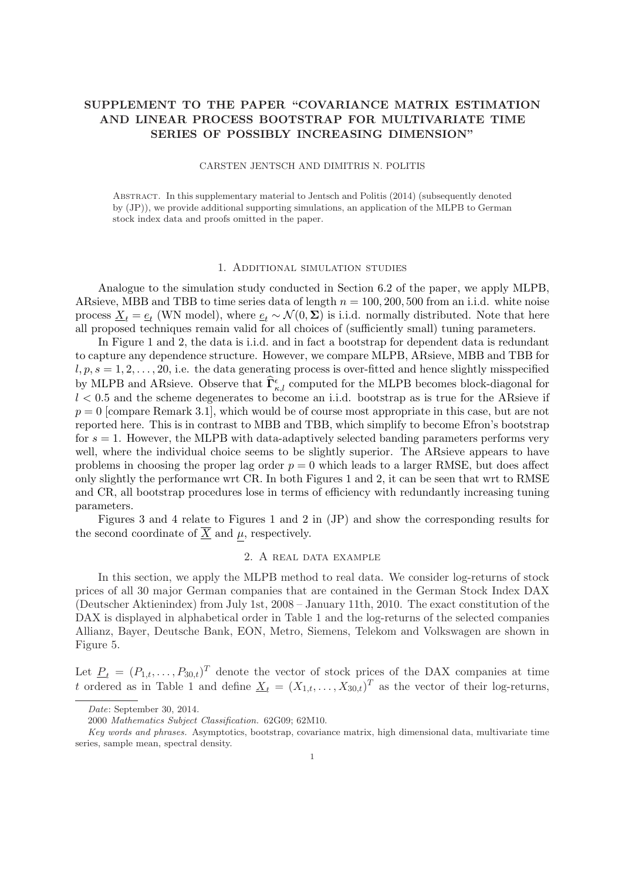# SUPPLEMENT TO THE PAPER "COVARIANCE MATRIX ESTIMATION AND LINEAR PROCESS BOOTSTRAP FOR MULTIVARIATE TIME SERIES OF POSSIBLY INCREASING DIMENSION"

#### CARSTEN JENTSCH AND DIMITRIS N. POLITIS

Abstract. In this supplementary material to Jentsch and Politis (2014) (subsequently denoted by (JP)), we provide additional supporting simulations, an application of the MLPB to German stock index data and proofs omitted in the paper.

#### 1. Additional simulation studies

Analogue to the simulation study conducted in Section 6.2 of the paper, we apply MLPB, ARsieve, MBB and TBB to time series data of length  $n = 100, 200, 500$  from an i.i.d. white noise process  $\underline{X}_t = \underline{e}_t$  (WN model), where  $\underline{e}_t \sim \mathcal{N}(0, \Sigma)$  is i.i.d. normally distributed. Note that here all proposed techniques remain valid for all choices of (sufficiently small) tuning parameters.

In Figure 1 and 2, the data is i.i.d. and in fact a bootstrap for dependent data is redundant to capture any dependence structure. However, we compare MLPB, ARsieve, MBB and TBB for  $l, p, s = 1, 2, \ldots, 20$ , i.e. the data generating process is over-fitted and hence slightly misspecified by MLPB and ARsieve. Observe that  $\hat{\Gamma}_{\kappa,l}^{\epsilon}$  computed for the MLPB becomes block-diagonal for  $l < 0.5$  and the scheme degenerates to become an i.i.d. bootstrap as is true for the ARsieve if  $p = 0$  [compare Remark 3.1], which would be of course most appropriate in this case, but are not reported here. This is in contrast to MBB and TBB, which simplify to become Efron's bootstrap for  $s = 1$ . However, the MLPB with data-adaptively selected banding parameters performs very well, where the individual choice seems to be slightly superior. The ARsieve appears to have problems in choosing the proper lag order  $p = 0$  which leads to a larger RMSE, but does affect only slightly the performance wrt CR. In both Figures 1 and 2, it can be seen that wrt to RMSE and CR, all bootstrap procedures lose in terms of efficiency with redundantly increasing tuning parameters.

Figures 3 and 4 relate to Figures 1 and 2 in (JP) and show the corresponding results for the second coordinate of  $\overline{X}$  and  $\mu$ , respectively.

### 2. A real data example

In this section, we apply the MLPB method to real data. We consider log-returns of stock prices of all 30 major German companies that are contained in the German Stock Index DAX (Deutscher Aktienindex) from July 1st, 2008 – January 11th, 2010. The exact constitution of the DAX is displayed in alphabetical order in Table 1 and the log-returns of the selected companies Allianz, Bayer, Deutsche Bank, EON, Metro, Siemens, Telekom and Volkswagen are shown in Figure 5.

Let  $\underline{P}_t = (P_{1,t}, \ldots, P_{30,t})^T$  denote the vector of stock prices of the DAX companies at time t ordered as in Table 1 and define  $\underline{X}_t = (X_{1,t}, \ldots, X_{30,t})^T$  as the vector of their log-returns,

Date: September 30, 2014.

<sup>2000</sup> Mathematics Subject Classification. 62G09; 62M10.

Key words and phrases. Asymptotics, bootstrap, covariance matrix, high dimensional data, multivariate time series, sample mean, spectral density.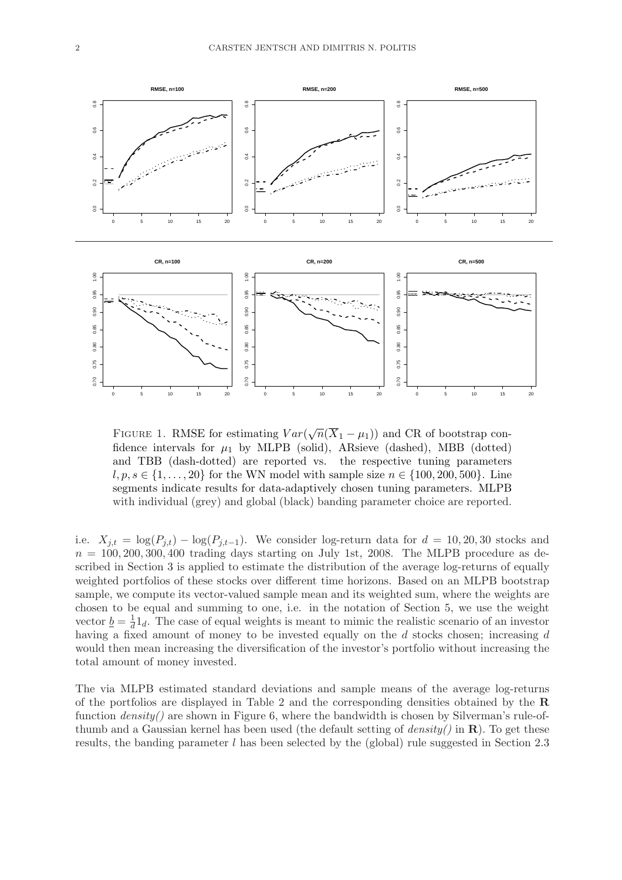

FIGURE 1. RMSE for estimating  $Var(\sqrt{n}(\overline{X}_1 - \mu_1))$  and CR of bootstrap confidence intervals for  $\mu_1$  by MLPB (solid), ARsieve (dashed), MBB (dotted) and TBB (dash-dotted) are reported vs. the respective tuning parameters  $l, p, s \in \{1, \ldots, 20\}$  for the WN model with sample size  $n \in \{100, 200, 500\}$ . Line segments indicate results for data-adaptively chosen tuning parameters. MLPB with individual (grey) and global (black) banding parameter choice are reported.

i.e.  $X_{j,t} = \log(P_{j,t}) - \log(P_{j,t-1})$ . We consider log-return data for  $d = 10, 20, 30$  stocks and  $n = 100, 200, 300, 400$  trading days starting on July 1st, 2008. The MLPB procedure as described in Section 3 is applied to estimate the distribution of the average log-returns of equally weighted portfolios of these stocks over different time horizons. Based on an MLPB bootstrap sample, we compute its vector-valued sample mean and its weighted sum, where the weights are chosen to be equal and summing to one, i.e. in the notation of Section 5, we use the weight vector  $\underline{b} = \frac{1}{d}$  $\frac{1}{d}$ 1<sub>d</sub>. The case of equal weights is meant to mimic the realistic scenario of an investor having a fixed amount of money to be invested equally on the d stocks chosen; increasing d would then mean increasing the diversification of the investor's portfolio without increasing the total amount of money invested.

The via MLPB estimated standard deviations and sample means of the average log-returns of the portfolios are displayed in Table 2 and the corresponding densities obtained by the R function  $density()$  are shown in Figure 6, where the bandwidth is chosen by Silverman's rule-ofthumb and a Gaussian kernel has been used (the default setting of  $density()$  in  $\mathbb{R}$ ). To get these results, the banding parameter  $l$  has been selected by the (global) rule suggested in Section 2.3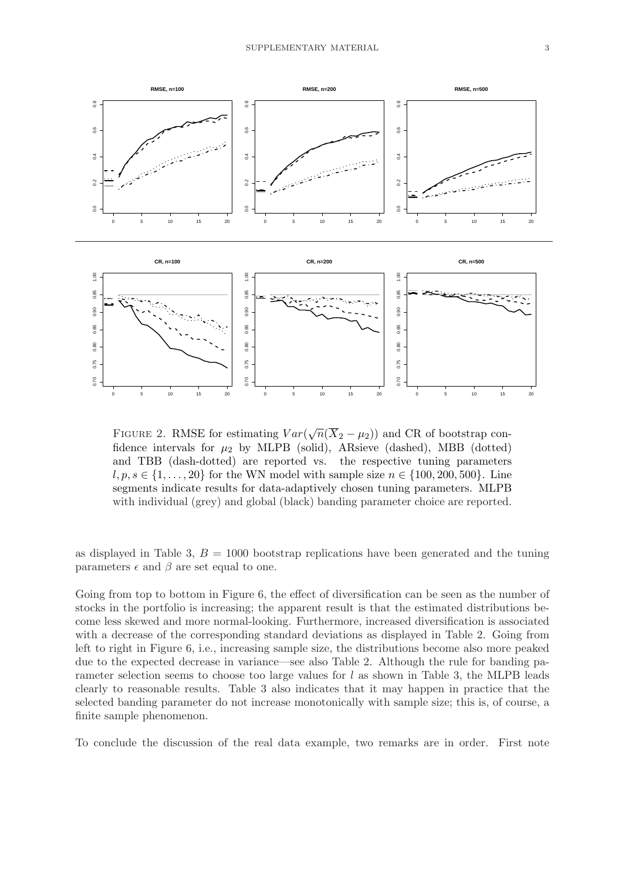

FIGURE 2. RMSE for estimating  $Var(\sqrt{n}(\overline{X}_2 - \mu_2))$  and CR of bootstrap confidence intervals for  $\mu_2$  by MLPB (solid), ARsieve (dashed), MBB (dotted) and TBB (dash-dotted) are reported vs. the respective tuning parameters  $l, p, s \in \{1, \ldots, 20\}$  for the WN model with sample size  $n \in \{100, 200, 500\}$ . Line segments indicate results for data-adaptively chosen tuning parameters. MLPB with individual (grey) and global (black) banding parameter choice are reported.

as displayed in Table 3,  $B = 1000$  bootstrap replications have been generated and the tuning parameters  $\epsilon$  and  $\beta$  are set equal to one.

Going from top to bottom in Figure 6, the effect of diversification can be seen as the number of stocks in the portfolio is increasing; the apparent result is that the estimated distributions become less skewed and more normal-looking. Furthermore, increased diversification is associated with a decrease of the corresponding standard deviations as displayed in Table 2. Going from left to right in Figure 6, i.e., increasing sample size, the distributions become also more peaked due to the expected decrease in variance—see also Table 2. Although the rule for banding parameter selection seems to choose too large values for  $l$  as shown in Table 3, the MLPB leads clearly to reasonable results. Table 3 also indicates that it may happen in practice that the selected banding parameter do not increase monotonically with sample size; this is, of course, a finite sample phenomenon.

To conclude the discussion of the real data example, two remarks are in order. First note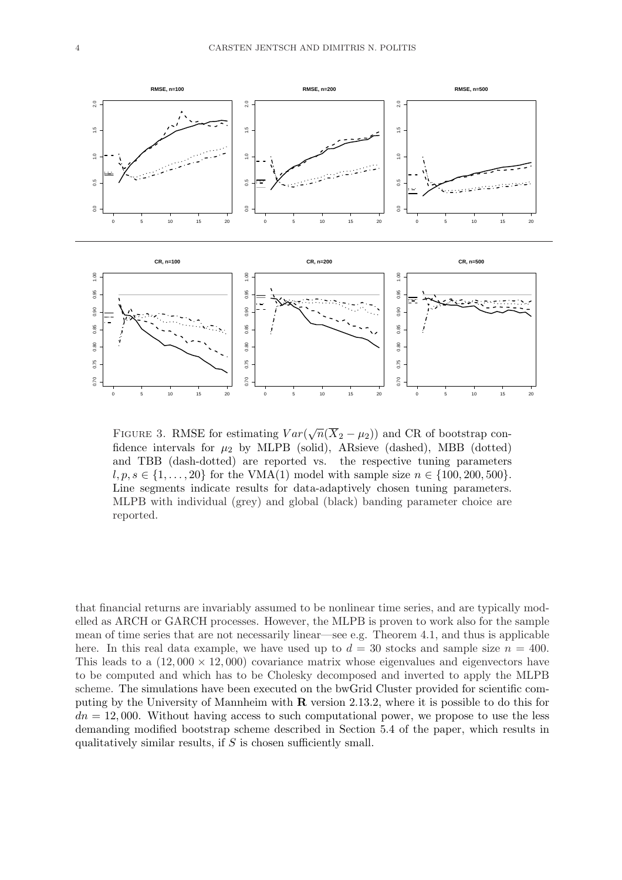

FIGURE 3. RMSE for estimating  $Var(\sqrt{n}(\overline{X}_2 - \mu_2))$  and CR of bootstrap confidence intervals for  $\mu_2$  by MLPB (solid), ARsieve (dashed), MBB (dotted) and TBB (dash-dotted) are reported vs. the respective tuning parameters  $l, p, s \in \{1, ..., 20\}$  for the VMA(1) model with sample size  $n \in \{100, 200, 500\}$ . Line segments indicate results for data-adaptively chosen tuning parameters. MLPB with individual (grey) and global (black) banding parameter choice are reported.

that financial returns are invariably assumed to be nonlinear time series, and are typically modelled as ARCH or GARCH processes. However, the MLPB is proven to work also for the sample mean of time series that are not necessarily linear—see e.g. Theorem 4.1, and thus is applicable here. In this real data example, we have used up to  $d = 30$  stocks and sample size  $n = 400$ . This leads to a  $(12,000 \times 12,000)$  covariance matrix whose eigenvalues and eigenvectors have to be computed and which has to be Cholesky decomposed and inverted to apply the MLPB scheme. The simulations have been executed on the bwGrid Cluster provided for scientific computing by the University of Mannheim with R version 2.13.2, where it is possible to do this for  $dn = 12,000$ . Without having access to such computational power, we propose to use the less demanding modified bootstrap scheme described in Section 5.4 of the paper, which results in qualitatively similar results, if  $S$  is chosen sufficiently small.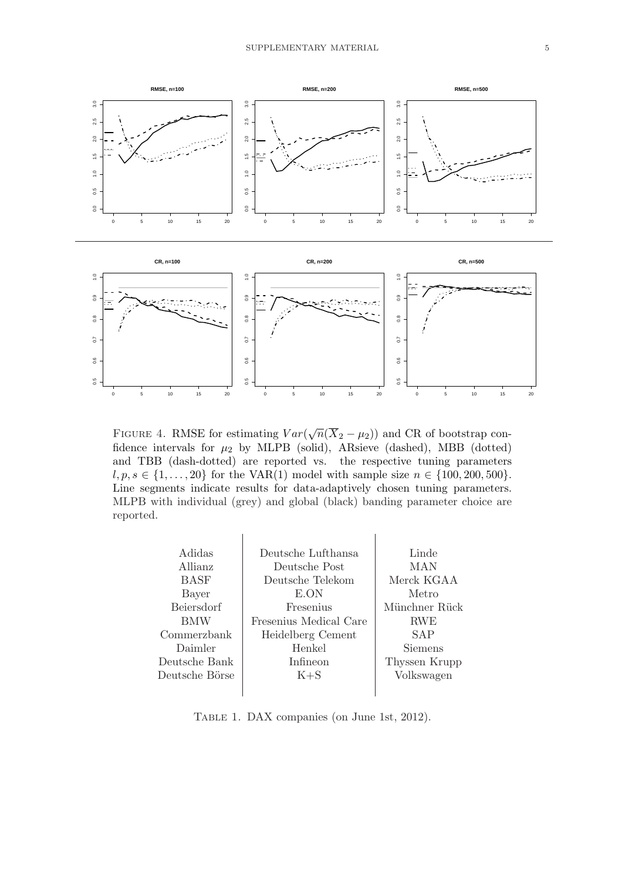

FIGURE 4. RMSE for estimating  $Var(\sqrt{n}(\overline{X}_2 - \mu_2))$  and CR of bootstrap confidence intervals for  $\mu_2$  by MLPB (solid), ARsieve (dashed), MBB (dotted) and TBB (dash-dotted) are reported vs. the respective tuning parameters  $l, p, s \in \{1, ..., 20\}$  for the VAR(1) model with sample size  $n \in \{100, 200, 500\}.$ Line segments indicate results for data-adaptively chosen tuning parameters. MLPB with individual (grey) and global (black) banding parameter choice are reported.

| Adidas         | Deutsche Lufthansa     | Linde         |  |  |
|----------------|------------------------|---------------|--|--|
| Allianz        | Deutsche Post          | MAN           |  |  |
| <b>BASF</b>    | Deutsche Telekom       | Merck KGAA    |  |  |
| Bayer          | E.ON                   | Metro         |  |  |
| Beiersdorf     | Fresenius              | Münchner Rück |  |  |
| <b>BMW</b>     | Fresenius Medical Care | <b>RWE</b>    |  |  |
| Commerzbank    | Heidelberg Cement      | SAP           |  |  |
| Daimler        | Henkel                 | Siemens       |  |  |
| Deutsche Bank  | Infineon               | Thyssen Krupp |  |  |
| Deutsche Börse | $K + S$                | Volkswagen    |  |  |
|                |                        |               |  |  |
|                |                        |               |  |  |

Table 1. DAX companies (on June 1st, 2012).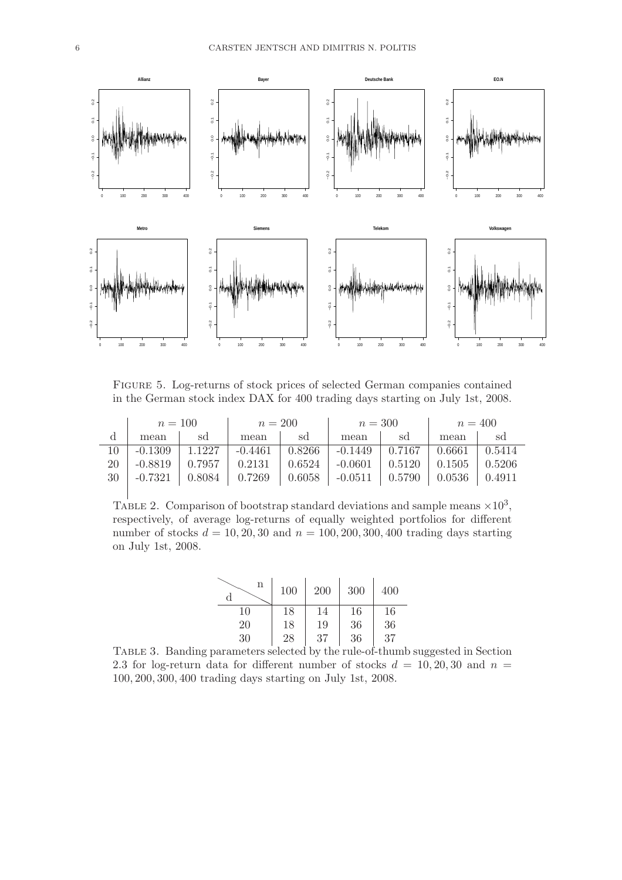

Figure 5. Log-returns of stock prices of selected German companies contained in the German stock index DAX for 400 trading days starting on July 1st, 2008.

|     | $n = 100$         |        | $n = 200$                                                                                                 |    | $n=300$                          |                                                                                | $n = 400$ |                     |
|-----|-------------------|--------|-----------------------------------------------------------------------------------------------------------|----|----------------------------------|--------------------------------------------------------------------------------|-----------|---------------------|
| d   | mean              | sd     | mean                                                                                                      | sd | mean                             | sd                                                                             | mean      | sd                  |
| 10. | $-0.1309$         | 1.1227 |                                                                                                           |    | $-0.4461$   $0.8266$   $-0.1449$ | $\begin{array}{ c c c c c c c c } \hline 0.7167 & 0.6661 \\\hline \end{array}$ |           | $\binom{0.5414}{ }$ |
| 20  | $-0.8819$         | 0.7957 |                                                                                                           |    | $0.2131$   $0.6524$   $-0.0601$  | $\vert$ 0.5120 $\vert$ 0.1505                                                  |           | $-0.5206$           |
|     | $30 \mid -0.7321$ |        | $\vert$ 0.8084 $\vert$ 0.7269 $\vert$ 0.6058 $\vert$ -0.0511 $\vert$ 0.5790 $\vert$ 0.0536 $\vert$ 0.4911 |    |                                  |                                                                                |           |                     |
|     |                   |        |                                                                                                           |    |                                  |                                                                                |           |                     |

TABLE 2. Comparison of bootstrap standard deviations and sample means  $\times 10^3$ , respectively, of average log-returns of equally weighted portfolios for different number of stocks  $d = 10, 20, 30$  and  $n = 100, 200, 300, 400$  trading days starting on July 1st, 2008.

| n<br>d | 100 | 200 | 300 | 400 |
|--------|-----|-----|-----|-----|
| 10     | 18  | 14  | 16  | 16  |
| 20     | 18  | 19  | 36  | 36  |
| 30     | 28  | 37  | 36  | 37  |

Table 3. Banding parameters selected by the rule-of-thumb suggested in Section 2.3 for log-return data for different number of stocks  $d = 10, 20, 30$  and  $n =$ 100, 200, 300, 400 trading days starting on July 1st, 2008.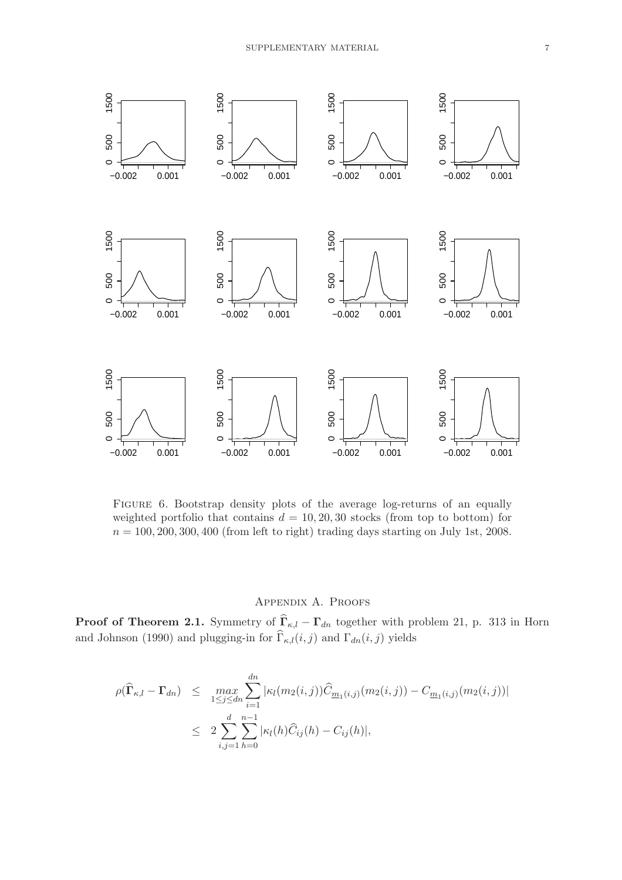

Figure 6. Bootstrap density plots of the average log-returns of an equally weighted portfolio that contains  $d = 10, 20, 30$  stocks (from top to bottom) for  $n = 100, 200, 300, 400$  (from left to right) trading days starting on July 1st, 2008.

# Appendix A. Proofs

**Proof of Theorem 2.1.** Symmetry of  $\Gamma_{\kappa,l} - \Gamma_{dn}$  together with problem 21, p. 313 in Horn and Johnson (1990) and plugging-in for  $\Gamma_{\kappa,l}(i,j)$  and  $\Gamma_{dn}(i,j)$  yields

$$
\rho(\widehat{\mathbf{\Gamma}}_{\kappa,l} - \mathbf{\Gamma}_{dn}) \leq \max_{1 \leq j \leq dn} \sum_{i=1}^{dn} |\kappa_l(m_2(i,j))\widehat{C}_{\underline{m}_1(i,j)}(m_2(i,j)) - C_{\underline{m}_1(i,j)}(m_2(i,j))|
$$
  

$$
\leq 2 \sum_{i,j=1}^d \sum_{h=0}^{n-1} |\kappa_l(h)\widehat{C}_{ij}(h) - C_{ij}(h)|,
$$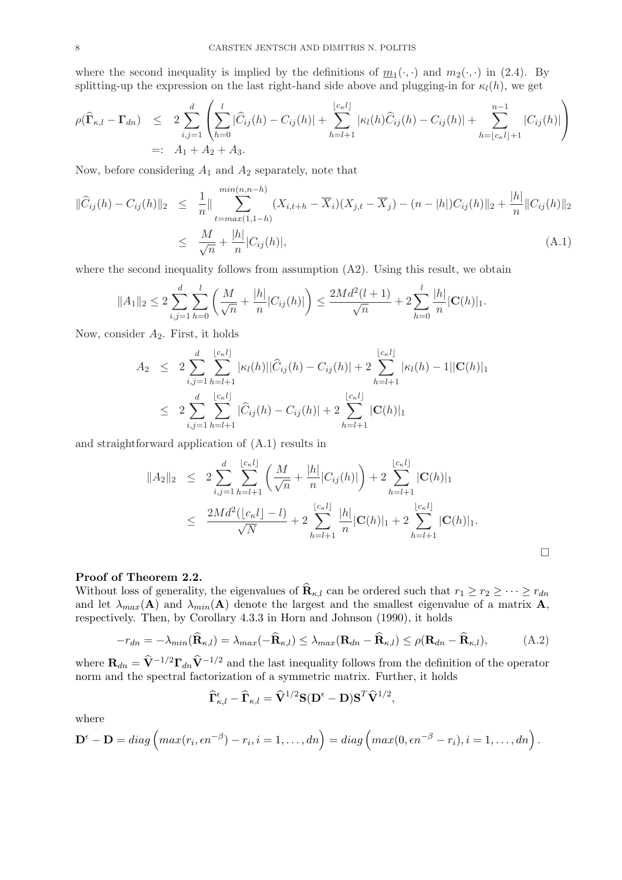where the second inequality is implied by the definitions of  $m_1(\cdot, \cdot)$  and  $m_2(\cdot, \cdot)$  in (2.4). By splitting-up the expression on the last right-hand side above and plugging-in for  $\kappa_l(h)$ , we get

$$
\rho(\widehat{\mathbf{I}}_{\kappa,l} - \mathbf{\Gamma}_{dn}) \leq 2 \sum_{i,j=1}^{d} \left( \sum_{h=0}^{l} |\widehat{C}_{ij}(h) - C_{ij}(h)| + \sum_{h=l+1}^{\lfloor c_{\kappa}l \rfloor} |\kappa_l(h)\widehat{C}_{ij}(h) - C_{ij}(h)| + \sum_{h=\lfloor c_{\kappa}l \rfloor+1}^{n-1} |C_{ij}(h)| \right)
$$
  
=: A<sub>1</sub> + A<sub>2</sub> + A<sub>3</sub>.

Now, before considering  $A_1$  and  $A_2$  separately, note that

$$
\|\widehat{C}_{ij}(h) - C_{ij}(h)\|_2 \leq \frac{1}{n} \|\sum_{t=\max(1,1-h)}^{\min(n,n-h)} (X_{i,t+h} - \overline{X}_i)(X_{j,t} - \overline{X}_j) - (n - |h|)C_{ij}(h)\|_2 + \frac{|h|}{n} \|C_{ij}(h)\|_2
$$
  

$$
\leq \frac{M}{\sqrt{n}} + \frac{|h|}{n} |C_{ij}(h)|,
$$
 (A.1)

where the second inequality follows from assumption  $(A2)$ . Using this result, we obtain

$$
||A_1||_2 \le 2 \sum_{i,j=1}^d \sum_{h=0}^l \left( \frac{M}{\sqrt{n}} + \frac{|h|}{n} |C_{ij}(h)| \right) \le \frac{2Md^2(l+1)}{\sqrt{n}} + 2 \sum_{h=0}^l \frac{|h|}{n} |\mathbf{C}(h)|_1.
$$

Now, consider  $A_2$ . First, it holds

$$
A_2 \leq 2 \sum_{i,j=1}^d \sum_{h=l+1}^{\lfloor c_k l \rfloor} |\kappa_l(h)| |\widehat{C}_{ij}(h) - C_{ij}(h)| + 2 \sum_{h=l+1}^{\lfloor c_k l \rfloor} |\kappa_l(h) - 1||\mathbf{C}(h)|_1
$$
  

$$
\leq 2 \sum_{i,j=1}^d \sum_{h=l+1}^{\lfloor c_k l \rfloor} |\widehat{C}_{ij}(h) - C_{ij}(h)| + 2 \sum_{h=l+1}^{\lfloor c_k l \rfloor} |\mathbf{C}(h)|_1
$$

and straightforward application of (A.1) results in

$$
||A_2||_2 \le 2 \sum_{i,j=1}^d \sum_{h=l+1}^{\lfloor c_k l \rfloor} \left( \frac{M}{\sqrt{n}} + \frac{|h|}{n} |C_{ij}(h)| \right) + 2 \sum_{h=l+1}^{\lfloor c_k l \rfloor} |\mathbf{C}(h)|_1
$$
  

$$
\le \frac{2Md^2(|c_kl|-l)}{\sqrt{N}} + 2 \sum_{h=l+1}^{\lfloor c_k l \rfloor} \frac{|h|}{n} |\mathbf{C}(h)|_1 + 2 \sum_{h=l+1}^{\lfloor c_k l \rfloor} |\mathbf{C}(h)|_1.
$$

#### Proof of Theorem 2.2.

Without loss of generality, the eigenvalues of  $\mathbf{R}_{\kappa,l}$  can be ordered such that  $r_1 \geq r_2 \geq \cdots \geq r_{dn}$ and let  $\lambda_{max}(\mathbf{A})$  and  $\lambda_{min}(\mathbf{A})$  denote the largest and the smallest eigenvalue of a matrix  $\mathbf{A}$ , respectively. Then, by Corollary 4.3.3 in Horn and Johnson (1990), it holds

$$
-r_{dn} = -\lambda_{min}(\widehat{\mathbf{R}}_{\kappa,l}) = \lambda_{max}(-\widehat{\mathbf{R}}_{\kappa,l}) \le \lambda_{max}(\mathbf{R}_{dn} - \widehat{\mathbf{R}}_{\kappa,l}) \le \rho(\mathbf{R}_{dn} - \widehat{\mathbf{R}}_{\kappa,l}),
$$
(A.2)

where  $\mathbf{R}_{dn} = \hat{\mathbf{V}}^{-1/2}\mathbf{\Gamma}_{dn}\hat{\mathbf{V}}^{-1/2}$  and the last inequality follows from the definition of the operator norm and the spectral factorization of a symmetric matrix. Further, it holds

$$
\widehat{\mathbf{\Gamma}}_{\kappa,l}^{\epsilon} - \widehat{\mathbf{\Gamma}}_{\kappa,l} = \widehat{\mathbf{V}}^{1/2} \mathbf{S} (\mathbf{D}^{\epsilon} - \mathbf{D}) \mathbf{S}^T \widehat{\mathbf{V}}^{1/2},
$$

where

$$
\mathbf{D}^{\epsilon}-\mathbf{D}=diag\left(max(r_i,\epsilon n^{-\beta})-r_i,i=1,\ldots,dn\right)=diag\left(max(0,\epsilon n^{-\beta}-r_i),i=1,\ldots,dn\right).
$$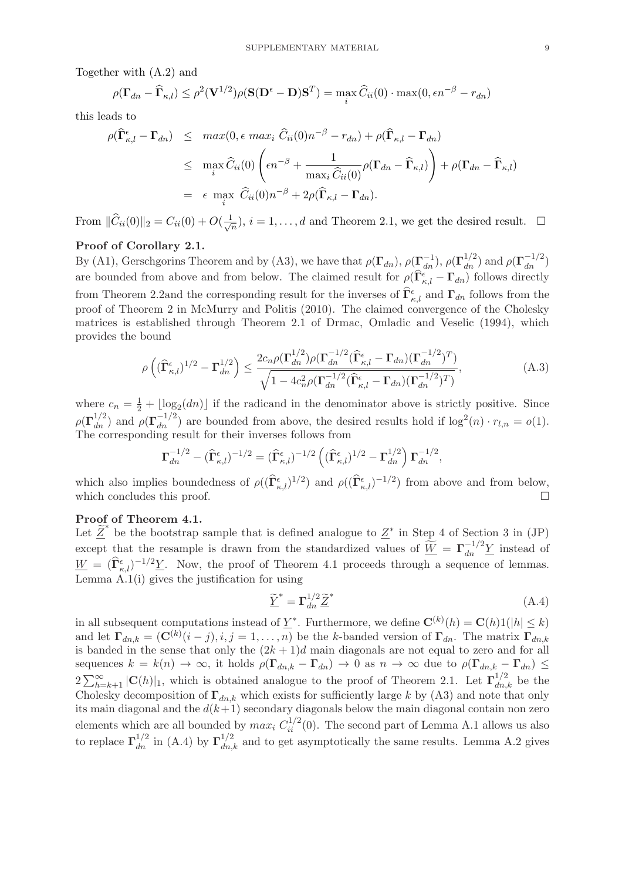Together with (A.2) and

$$
\rho(\mathbf{\Gamma}_{dn} - \widehat{\mathbf{\Gamma}}_{\kappa,l}) \leq \rho^2(\mathbf{V}^{1/2})\rho(\mathbf{S}(\mathbf{D}^{\epsilon} - \mathbf{D})\mathbf{S}^T) = \max_{i} \widehat{C}_{ii}(0) \cdot \max(0, \epsilon n^{-\beta} - r_{dn})
$$

this leads to

$$
\rho(\widehat{\mathbf{\Gamma}}^{\epsilon}_{\kappa,l} - \mathbf{\Gamma}_{dn}) \leq max(0, \epsilon \max_{i} \widehat{C}_{ii}(0)n^{-\beta} - r_{dn}) + \rho(\widehat{\mathbf{\Gamma}}_{\kappa,l} - \mathbf{\Gamma}_{dn})
$$
\n
$$
\leq \max_{i} \widehat{C}_{ii}(0) \left( \epsilon n^{-\beta} + \frac{1}{\max_{i} \widehat{C}_{ii}(0)} \rho(\mathbf{\Gamma}_{dn} - \widehat{\mathbf{\Gamma}}_{\kappa,l}) \right) + \rho(\mathbf{\Gamma}_{dn} - \widehat{\mathbf{\Gamma}}_{\kappa,l})
$$
\n
$$
= \epsilon \max_{i} \widehat{C}_{ii}(0)n^{-\beta} + 2\rho(\widehat{\mathbf{\Gamma}}_{\kappa,l} - \mathbf{\Gamma}_{dn}).
$$

From  $\|\widehat{C}_{ii}(0)\|_2 = C_{ii}(0) + O(\frac{1}{\sqrt{n}})$  $\frac{1}{n}$ ,  $i = 1, ..., d$  and Theorem 2.1, we get the desired result.  $\Box$ 

### Proof of Corollary 2.1.

By (A1), Gerschgorins Theorem and by (A3), we have that  $\rho(\mathbf{\Gamma}_{dn}^{1}), \rho(\mathbf{\Gamma}_{dn}^{1/2})$  and  $\rho(\mathbf{\Gamma}_{dn}^{-1/2})$ are bounded from above and from below. The claimed result for  $\rho(\hat{\Gamma}_{\kappa,l}^{\epsilon} - \Gamma_{dn})$  follows directly from Theorem 2.2and the corresponding result for the inverses of  $\hat{\Gamma}_{\kappa,l}^{\epsilon}$  and  $\Gamma_{dn}$  follows from the proof of Theorem 2 in McMurry and Politis (2010). The claimed convergence of the Cholesky matrices is established through Theorem 2.1 of Drmac, Omladic and Veselic (1994), which provides the bound

$$
\rho\left((\widehat{\Gamma}_{\kappa,l}^{\epsilon})^{1/2} - \Gamma_{dn}^{1/2}\right) \le \frac{2c_n \rho(\Gamma_{dn}^{1/2})\rho(\Gamma_{dn}^{-1/2}(\widehat{\Gamma}_{\kappa,l}^{\epsilon} - \Gamma_{dn})(\Gamma_{dn}^{-1/2})^T)}{\sqrt{1 - 4c_n^2 \rho(\Gamma_{dn}^{-1/2}(\widehat{\Gamma}_{\kappa,l}^{\epsilon} - \Gamma_{dn})(\Gamma_{dn}^{-1/2})^T)}},\tag{A.3}
$$

where  $c_n = \frac{1}{2} + \lfloor \log_2(dn) \rfloor$  if the radicand in the denominator above is strictly positive. Since  $\rho(\Gamma_{dn}^{1/2})$  and  $\rho(\Gamma_{dn}^{-1/2})$  are bounded from above, the desired results hold if  $\log^2(n) \cdot r_{l,n} = o(1)$ . The corresponding result for their inverses follows from

$$
\mathbf{\Gamma}_{dn}^{-1/2} - (\widehat{\mathbf{\Gamma}}_{\kappa,l}^{\epsilon})^{-1/2} = (\widehat{\mathbf{\Gamma}}_{\kappa,l}^{\epsilon})^{-1/2} \left( (\widehat{\mathbf{\Gamma}}_{\kappa,l}^{\epsilon})^{1/2} - \mathbf{\Gamma}_{dn}^{1/2} \right) \mathbf{\Gamma}_{dn}^{-1/2},
$$

which also implies boundedness of  $\rho((\hat{\Gamma}_{\kappa,l}^{\epsilon})^{1/2})$  and  $\rho((\hat{\Gamma}_{\kappa,l}^{\epsilon})^{-1/2})$  from above and from below, which concludes this proof.  $\Box$ 

### Proof of Theorem 4.1.

Let  $\tilde{\underline{Z}}^*$  be the bootstrap sample that is defined analogue to  $\underline{Z}^*$  in Step 4 of Section 3 in (JP) except that the resample is drawn from the standardized values of  $\widetilde{\underline{W}} = \Gamma_{dn}^{-1/2} \underline{Y}$  instead of  $\underline{W} = (\hat{\Gamma}_{\kappa,l}^{\epsilon})^{-1/2} \underline{Y}$ . Now, the proof of Theorem 4.1 proceeds through a sequence of lemmas. Lemma  $A(1(i))$  gives the justification for using

$$
\underline{\widetilde{Y}}^* = \Gamma_{dn}^{1/2} \underline{\widetilde{Z}}^* \tag{A.4}
$$

in all subsequent computations instead of  $\underline{Y}^*$ . Furthermore, we define  $\mathbf{C}^{(k)}(h) = \mathbf{C}(h)1(|h| \leq k)$ and let  $\Gamma_{dn,k} = (\mathbf{C}^{(k)}(i-j), i, j = 1, \ldots, n)$  be the k-banded version of  $\Gamma_{dn}$ . The matrix  $\Gamma_{dn,k}$ is banded in the sense that only the  $(2k+1)d$  main diagonals are not equal to zero and for all sequences  $k = k(n) \to \infty$ , it holds  $\rho(\Gamma_{dn,k} - \Gamma_{dn}) \to 0$  as  $n \to \infty$  due to  $\rho(\Gamma_{dn,k} - \Gamma_{dn}) \le$  $2\sum_{h=k+1}^{\infty} |C(h)|_1$ , which is obtained analogue to the proof of Theorem 2.1. Let  $\Gamma_{dn,k}^{1/2}$  be the Cholesky decomposition of  $\Gamma_{dn,k}$  which exists for sufficiently large k by (A3) and note that only its main diagonal and the  $d(k+1)$  secondary diagonals below the main diagonal contain non zero elements which are all bounded by  $max_i C_{ii}^{1/2}(0)$ . The second part of Lemma A.1 allows us also to replace  $\Gamma_{dn}^{1/2}$  in (A.4) by  $\Gamma_{dn,k}^{1/2}$  and to get asymptotically the same results. Lemma A.2 gives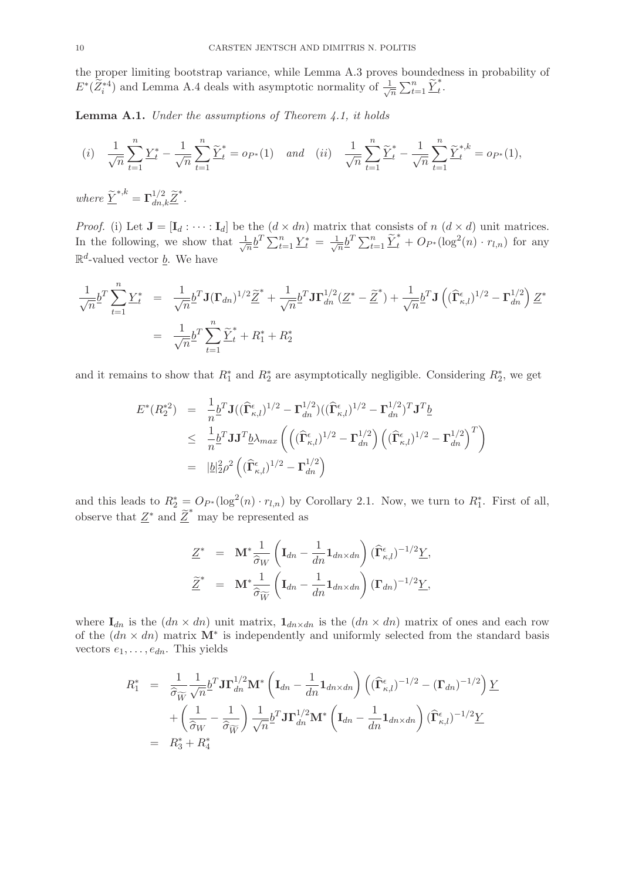the proper limiting bootstrap variance, while Lemma A.3 proves boundedness in probability of  $E^*(\widetilde{Z}_i^{*4})$  and Lemma A.4 deals with asymptotic normality of  $\frac{1}{\sqrt{2}}$  $\frac{1}{n} \sum_{t=1}^n \underline{\widetilde{Y}}_t^*.$ 

**Lemma A.1.** Under the assumptions of Theorem 4.1, it holds

$$
(i) \quad \frac{1}{\sqrt{n}} \sum_{t=1}^{n} \underline{Y}_t^* - \frac{1}{\sqrt{n}} \sum_{t=1}^{n} \underline{\widetilde{Y}}_t^* = o_{P^*}(1) \quad and \quad (ii) \quad \frac{1}{\sqrt{n}} \sum_{t=1}^{n} \underline{\widetilde{Y}}_t^* - \frac{1}{\sqrt{n}} \sum_{t=1}^{n} \underline{\widetilde{Y}}_t^{*,k} = o_{P^*}(1),
$$

where  $\widetilde{\underline{Y}}^{*,k} = \Gamma_{dn,k}^{1/2} \widetilde{\underline{Z}}^*.$ 

*Proof.* (i) Let  $J = [I_d : \cdots : I_d]$  be the  $(d \times dn)$  matrix that consists of  $n (d \times d)$  unit matrices. In the following, we show that  $\frac{1}{\sqrt{2}}$  $\frac{1}{n} \underline{b}^T \sum_{t=1}^n \underline{Y}^*_t = \frac{1}{\sqrt{n}}$  $\frac{1}{\sqrt{n}} \sum_{t=1}^n \underline{\widetilde{Y}}_t^* + O_{P^*}(\log^2(n) \cdot r_{l,n})$  for any  $\mathbb{R}^d$ -valued vector <u>b</u>. We have

$$
\frac{1}{\sqrt{n}} \underline{b}^T \sum_{t=1}^n \underline{Y}_t^* = \frac{1}{\sqrt{n}} \underline{b}^T \mathbf{J} (\Gamma_{dn})^{1/2} \underline{\widetilde{Z}}^* + \frac{1}{\sqrt{n}} \underline{b}^T \mathbf{J} \Gamma_{dn}^{1/2} (\underline{Z}^* - \underline{\widetilde{Z}}^*) + \frac{1}{\sqrt{n}} \underline{b}^T \mathbf{J} \left( (\widehat{\Gamma}_{\kappa,l}^{\epsilon})^{1/2} - \Gamma_{dn}^{1/2} \right) \underline{Z}^*
$$
\n
$$
= \frac{1}{\sqrt{n}} \underline{b}^T \sum_{t=1}^n \underline{\widetilde{Y}}_t^* + R_1^* + R_2^*
$$

and it remains to show that  $R_1^*$  and  $R_2^*$  are asymptotically negligible. Considering  $R_2^*$ , we get

$$
E^*(R_2^{*2}) = \frac{1}{n} \underline{b}^T \mathbf{J} ((\widehat{\mathbf{\Gamma}}_{\kappa,l}^{\epsilon})^{1/2} - \mathbf{\Gamma}_{dn}^{1/2}) ((\widehat{\mathbf{\Gamma}}_{\kappa,l}^{\epsilon})^{1/2} - \mathbf{\Gamma}_{dn}^{1/2})^T \mathbf{J}^T \underline{b}
$$
  
\n
$$
\leq \frac{1}{n} \underline{b}^T \mathbf{J} \mathbf{J}^T \underline{b} \lambda_{max} \left( \left( (\widehat{\mathbf{\Gamma}}_{\kappa,l}^{\epsilon})^{1/2} - \mathbf{\Gamma}_{dn}^{1/2} \right) \left( (\widehat{\mathbf{\Gamma}}_{\kappa,l}^{\epsilon})^{1/2} - \mathbf{\Gamma}_{dn}^{1/2} \right)^T \right)
$$
  
\n
$$
= |\underline{b}|_2^2 \rho^2 \left( (\widehat{\mathbf{\Gamma}}_{\kappa,l}^{\epsilon})^{1/2} - \mathbf{\Gamma}_{dn}^{1/2} \right)
$$

and this leads to  $R_2^* = O_{P^*}(\log^2(n) \cdot r_{l,n})$  by Corollary 2.1. Now, we turn to  $R_1^*$ . First of all, observe that  $\underline{Z}^*$  and  $\underline{\widetilde{Z}}^*$  may be represented as

$$
\underline{Z}^* = \mathbf{M}^* \frac{1}{\hat{\sigma}_W} \left( \mathbf{I}_{dn} - \frac{1}{dn} \mathbf{1}_{dn \times dn} \right) (\widehat{\mathbf{\Gamma}}_{\kappa,l}^{\epsilon})^{-1/2} \underline{Y},
$$
  

$$
\underline{\widetilde{Z}}^* = \mathbf{M}^* \frac{1}{\hat{\sigma}_{\widetilde{W}}} \left( \mathbf{I}_{dn} - \frac{1}{dn} \mathbf{1}_{dn \times dn} \right) (\mathbf{\Gamma}_{dn})^{-1/2} \underline{Y},
$$

where  $I_{dn}$  is the  $dn \times dn$  unit matrix,  $I_{dn \times dn}$  is the  $dn \times dn$  matrix of ones and each row of the  $(dn \times dn)$  matrix  $\mathbf{M}^*$  is independently and uniformly selected from the standard basis vectors  $e_1, \ldots, e_{dn}$ . This yields

$$
R_1^* = \frac{1}{\hat{\sigma}_{\widetilde{W}}} \frac{1}{\sqrt{n}} \underline{b}^T \mathbf{J} \mathbf{\Gamma}_{dn}^{1/2} \mathbf{M}^* \left( \mathbf{I}_{dn} - \frac{1}{dn} \mathbf{1}_{dn \times dn} \right) \left( (\widehat{\mathbf{\Gamma}}_{\kappa,l}^{\epsilon})^{-1/2} - (\mathbf{\Gamma}_{dn})^{-1/2} \right) \underline{Y} + \left( \frac{1}{\hat{\sigma}_{W}} - \frac{1}{\hat{\sigma}_{\widetilde{W}}} \right) \frac{1}{\sqrt{n}} \underline{b}^T \mathbf{J} \mathbf{\Gamma}_{dn}^{1/2} \mathbf{M}^* \left( \mathbf{I}_{dn} - \frac{1}{dn} \mathbf{1}_{dn \times dn} \right) (\widehat{\mathbf{\Gamma}}_{\kappa,l}^{\epsilon})^{-1/2} \underline{Y} = R_3^* + R_4^*
$$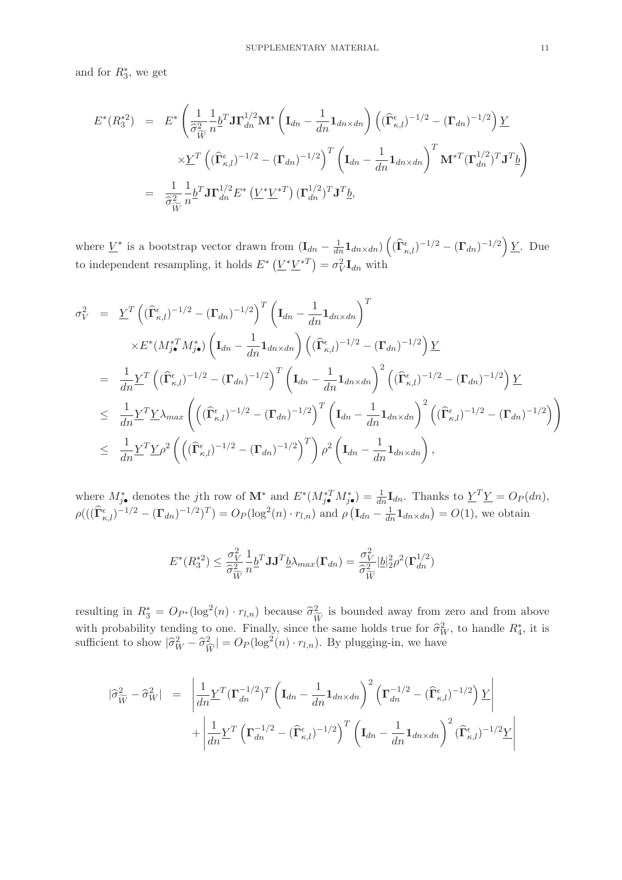and for  $R_3^*$ , we get

$$
E^*(R_3^{*2}) = E^* \left( \frac{1}{\hat{\sigma}_{\widetilde{W}}^2} \frac{1}{n} \underline{b}^T \mathbf{J} \mathbf{\Gamma}_{dn}^{1/2} \mathbf{M}^* \left( \mathbf{I}_{dn} - \frac{1}{dn} \mathbf{1}_{dn \times dn} \right) \left( (\widehat{\mathbf{\Gamma}}_{\kappa,l}^{\epsilon})^{-1/2} - (\mathbf{\Gamma}_{dn})^{-1/2} \right) \underline{Y} \right)
$$
  

$$
\times \underline{Y}^T \left( (\widehat{\mathbf{\Gamma}}_{\kappa,l}^{\epsilon})^{-1/2} - (\mathbf{\Gamma}_{dn})^{-1/2} \right)^T \left( \mathbf{I}_{dn} - \frac{1}{dn} \mathbf{1}_{dn \times dn} \right)^T \mathbf{M}^{*T} (\mathbf{\Gamma}_{dn}^{1/2})^T \mathbf{J}^T \underline{b} \right)
$$
  

$$
= \frac{1}{\hat{\sigma}_{\widetilde{W}}^2} \frac{1}{n} \underline{b}^T \mathbf{J} \mathbf{\Gamma}_{dn}^{1/2} E^* \left( \underline{V}^* \underline{V}^{*T} \right) (\mathbf{\Gamma}_{dn}^{1/2})^T \mathbf{J}^T \underline{b},
$$

where  $\underline{V}^*$  is a bootstrap vector drawn from  $(\mathbf{I}_{dn} - \frac{1}{dn}\mathbf{1}_{dn\times dn}) \left( (\widehat{\mathbf{\Gamma}}_{\kappa,l}^{\epsilon})^{-1/2} - (\mathbf{\Gamma}_{dn})^{-1/2} \right) \underline{Y}$ . Due to independent resampling, it holds  $E^* (\underline{V}^* \underline{V}^{*T}) = \sigma_V^2 \mathbf{I}_{dn}$  with

$$
\sigma_V^2 = \underline{Y}^T \left( (\widehat{\Gamma}_{\kappa,l}^{\epsilon})^{-1/2} - (\Gamma_{dn})^{-1/2} \right)^T \left( \mathbf{I}_{dn} - \frac{1}{dn} \mathbf{1}_{dn \times dn} \right)^T
$$
\n
$$
\times E^*(M_{j\bullet}^{*T} M_{j\bullet}^*) \left( \mathbf{I}_{dn} - \frac{1}{dn} \mathbf{1}_{dn \times dn} \right) \left( (\widehat{\Gamma}_{\kappa,l}^{\epsilon})^{-1/2} - (\Gamma_{dn})^{-1/2} \right) \underline{Y}
$$
\n
$$
= \frac{1}{dn} \underline{Y}^T \left( (\widehat{\Gamma}_{\kappa,l}^{\epsilon})^{-1/2} - (\Gamma_{dn})^{-1/2} \right)^T \left( \mathbf{I}_{dn} - \frac{1}{dn} \mathbf{1}_{dn \times dn} \right)^2 \left( (\widehat{\Gamma}_{\kappa,l}^{\epsilon})^{-1/2} - (\Gamma_{dn})^{-1/2} \right) \underline{Y}
$$
\n
$$
\leq \frac{1}{dn} \underline{Y}^T \underline{Y} \lambda_{max} \left( \left( (\widehat{\Gamma}_{\kappa,l}^{\epsilon})^{-1/2} - (\Gamma_{dn})^{-1/2} \right)^T \left( \mathbf{I}_{dn} - \frac{1}{dn} \mathbf{1}_{dn \times dn} \right)^2 \left( (\widehat{\Gamma}_{\kappa,l}^{\epsilon})^{-1/2} - (\Gamma_{dn})^{-1/2} \right) \right)
$$
\n
$$
\leq \frac{1}{dn} \underline{Y}^T \underline{Y} \rho^2 \left( \left( (\widehat{\Gamma}_{\kappa,l}^{\epsilon})^{-1/2} - (\Gamma_{dn})^{-1/2} \right)^T \right) \rho^2 \left( \mathbf{I}_{dn} - \frac{1}{dn} \mathbf{1}_{dn \times dn} \right),
$$

where  $M_{j\bullet}^*$  denotes the jth row of  $\mathbf{M}^*$  and  $E^*(M_{j\bullet}^{*T}M_{j\bullet}^*) = \frac{1}{dn}\mathbf{I}_{dn}$ . Thanks to  $\underline{Y}^T\underline{Y} = O_P(dn)$ ,  $\rho(((\hat{\Gamma}_{\kappa,l}^{\epsilon})^{-1/2} - (\Gamma_{dn})^{-1/2})^T) = O_P(\log^2(n) \cdot r_{l,n})$  and  $\rho(\mathbf{I}_{dn} - \frac{1}{dn}\mathbf{1}_{dn \times dn}) = O(1)$ , we obtain

$$
E^*(R_3^{*2}) \le \frac{\sigma_V^2}{\hat{\sigma}_{\widetilde{W}}^2} \frac{1}{n} \underline{b}^T \mathbf{J} \mathbf{J}^T \underline{b} \lambda_{max}(\mathbf{\Gamma}_{dn}) = \frac{\sigma_V^2}{\hat{\sigma}_{\widetilde{W}}^2} |\underline{b}|_2^2 \rho^2(\mathbf{\Gamma}_{dn}^{1/2})
$$

resulting in  $R_3^* = O_{P^*}(\log^2(n) \cdot r_{l,n})$  because  $\widehat{\sigma}_{\widetilde{W}}^2$  is bounded away from zero and from above with probability tending to one. Finally, since the same holds true for  $\hat{\sigma}_W^2$ , to handle  $R_4^*$ , it is sufficient to show  $|\hat{\sigma}_{W}^2 - \hat{\sigma}_{\widehat{W}}^2| = O_P(\log^2(n) \cdot r_{l,n})$ . By plugging-in, we have

$$
|\hat{\sigma}_{\widetilde{W}}^2 - \hat{\sigma}_W^2| = \left| \frac{1}{dn} \underline{Y}^T (\Gamma_{dn}^{-1/2})^T \left( \mathbf{I}_{dn} - \frac{1}{dn} \mathbf{1}_{dn \times dn} \right)^2 \left( \Gamma_{dn}^{-1/2} - (\widehat{\Gamma}_{\kappa,l}^{\epsilon})^{-1/2} \right) \underline{Y} \right|
$$
  
+ 
$$
\left| \frac{1}{dn} \underline{Y}^T \left( \Gamma_{dn}^{-1/2} - (\widehat{\Gamma}_{\kappa,l}^{\epsilon})^{-1/2} \right)^T \left( \mathbf{I}_{dn} - \frac{1}{dn} \mathbf{1}_{dn \times dn} \right)^2 (\widehat{\Gamma}_{\kappa,l}^{\epsilon})^{-1/2} \underline{Y} \right|
$$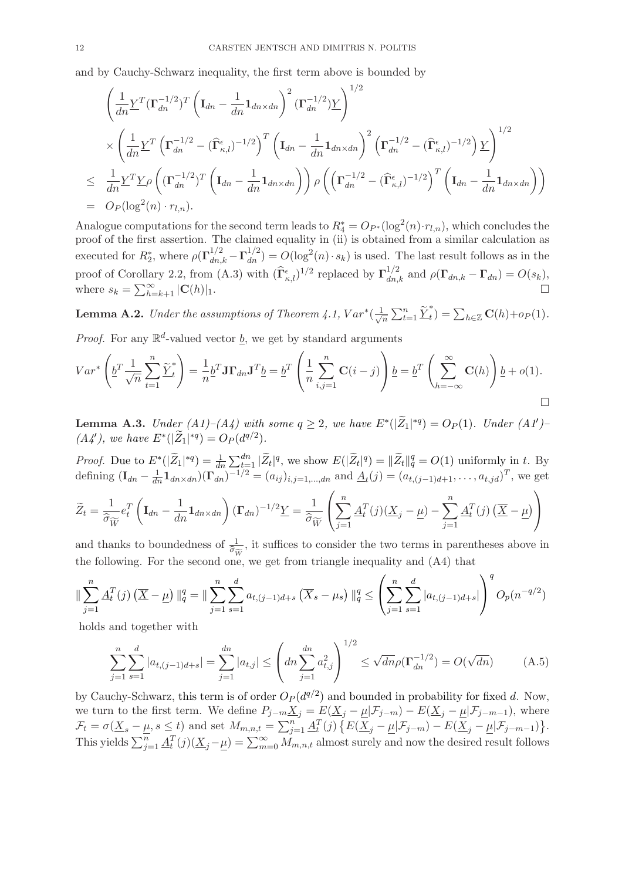and by Cauchy-Schwarz inequality, the first term above is bounded by

$$
\left(\frac{1}{dn}\underline{Y}^T(\Gamma_{dn}^{-1/2})^T\left(\mathbf{I}_{dn}-\frac{1}{dn}\mathbf{1}_{dn\times dn}\right)^2(\Gamma_{dn}^{-1/2})\underline{Y}\right)^{1/2} \times \left(\frac{1}{dn}\underline{Y}^T\left(\Gamma_{dn}^{-1/2}-(\widehat{\Gamma}_{\kappa,l}^{\epsilon})^{-1/2}\right)^T\left(\mathbf{I}_{dn}-\frac{1}{dn}\mathbf{1}_{dn\times dn}\right)^2\left(\Gamma_{dn}^{-1/2}-(\widehat{\Gamma}_{\kappa,l}^{\epsilon})^{-1/2}\right)\underline{Y}\right)^{1/2} \times \frac{1}{dn}\underline{Y}^T\underline{Y}\rho\left((\Gamma_{dn}^{-1/2})^T\left(\mathbf{I}_{dn}-\frac{1}{dn}\mathbf{1}_{dn\times dn}\right)\right)\rho\left(\left(\Gamma_{dn}^{-1/2}-(\widehat{\Gamma}_{\kappa,l}^{\epsilon})^{-1/2}\right)^T\left(\mathbf{I}_{dn}-\frac{1}{dn}\mathbf{1}_{dn\times dn}\right)\right)
$$
  
=  $O_P(\log^2(n)\cdot r_{l,n}).$ 

Analogue computations for the second term leads to  $R_4^* = O_{P^*}(\log^2(n) \cdot r_{l,n})$ , which concludes the proof of the first assertion. The claimed equality in (ii) is obtained from a similar calculation as executed for  $R_2^*$ , where  $\rho(\Gamma_{dn,k}^{1/2} - \Gamma_{dn}^{1/2}) = O(\log^2(n) \cdot s_k)$  is used. The last result follows as in the proof of Corollary 2.2, from (A.3) with  $(\hat{\Gamma}_{\kappa,l}^{\epsilon})^{1/2}$  replaced by  $\Gamma_{dn,k}^{1/2}$  and  $\rho(\Gamma_{dn,k} - \Gamma_{dn}) = O(s_k)$ , where  $s_k = \sum_{h=k+1}^{\infty} |C(h)|_1$ .

**Lemma A.2.** Under the assumptions of Theorem 4.1,  $Var^*(\frac{1}{\sqrt{n}})$  $\frac{1}{n}\sum_{t=1}^n \underline{\widetilde{Y}}_t^* = \sum_{h\in \mathbb{Z}} \mathbf{C}(h) + o_P(1).$ 

*Proof.* For any  $\mathbb{R}^d$ -valued vector  $\underline{b}$ , we get by standard arguments

$$
Var^* \left( \underline{b}^T \frac{1}{\sqrt{n}} \sum_{t=1}^n \underline{\widetilde{Y}}_t^* \right) = \frac{1}{n} \underline{b}^T \mathbf{J} \mathbf{\Gamma}_{dn} \mathbf{J}^T \underline{b} = \underline{b}^T \left( \frac{1}{n} \sum_{i,j=1}^n \mathbf{C}(i-j) \right) \underline{b} = \underline{b}^T \left( \sum_{h=-\infty}^{\infty} \mathbf{C}(h) \right) \underline{b} + o(1).
$$

**Lemma A.3.** Under  $(A1)$ – $(A4)$  with some  $q \geq 2$ , we have  $E^*(|\tilde{Z}_1|^{*q}) = O_P(1)$ . Under  $(A1')$ –  $(A4')$ , we have  $E^*(|\tilde{Z}_1|^{*q}) = O_P(d^{q/2}).$ 

*Proof.* Due to  $E^*(|\tilde{Z}_1|^{*q}) = \frac{1}{dn} \sum_{t=1}^{dn} |\tilde{Z}_t|^q$ , we show  $E(|\tilde{Z}_t|^q) = ||\tilde{Z}_t||_q^q = O(1)$  uniformly in t. By defining  $(I_{dn} - \frac{1}{dn} 1_{dn \times dn}) (\Gamma_{dn})^{-1/2} = (a_{ij})_{i,j=1,\dots,dn}$  and  $\underline{A}_t(j) = (a_{t,(j-1)d+1}, \dots, a_{t,jd})^T$ , we get

$$
\widetilde{Z}_t = \frac{1}{\widehat{\sigma}_{\widetilde{W}}} e_t^T \left( \mathbf{I}_{dn} - \frac{1}{dn} \mathbf{1}_{dn \times dn} \right) (\mathbf{\Gamma}_{dn})^{-1/2} \underline{Y} = \frac{1}{\widehat{\sigma}_{\widetilde{W}}} \left( \sum_{j=1}^n \underline{A}_t^T(j) (\underline{X}_j - \underline{\mu}) - \sum_{j=1}^n \underline{A}_t^T(j) (\overline{X} - \underline{\mu}) \right)
$$

and thanks to boundedness of  $\frac{1}{\hat{\sigma}_{\widetilde{W}}}$ , it suffices to consider the two terms in parentheses above in the following. For the second one, we get from triangle inequality and (A4) that

$$
\|\sum_{j=1}^{n} \underline{A}_{t}^{T}(j) \left(\overline{\underline{X}} - \underline{\mu}\right) \|_{q}^{q} = \|\sum_{j=1}^{n} \sum_{s=1}^{d} a_{t,(j-1)d+s} \left(\overline{X}_{s} - \mu_{s}\right) \|_{q}^{q} \le \left(\sum_{j=1}^{n} \sum_{s=1}^{d} |a_{t,(j-1)d+s}|\right)^{q} O_{p}(n^{-q/2})
$$

holds and together with

$$
\sum_{j=1}^{n} \sum_{s=1}^{d} |a_{t,(j-1)d+s}| = \sum_{j=1}^{dn} |a_{t,j}| \le \left( dn \sum_{j=1}^{dn} a_{t,j}^2 \right)^{1/2} \le \sqrt{dn} \rho(\Gamma_{dn}^{-1/2}) = O(\sqrt{dn}) \tag{A.5}
$$

by Cauchy-Schwarz, this term is of order  $O_P(d^{q/2})$  and bounded in probability for fixed d. Now, we turn to the first term. We define  $P_{j-m}\underline{X}_j = E(\underline{X}_j - \underline{\mu}|\mathcal{F}_{j-m}) - E(\underline{X}_j - \underline{\mu}|\mathcal{F}_{j-m-1}),$  where  $\mathcal{F}_t = \sigma(\underline{X}_s - \underline{\mu}, s \leq t)$  and set  $M_{m,n,t} = \sum_{j=1}^n \underline{A}_t^T(j) \left\{ E(\overline{\underline{X}}_j - \underline{\mu} | \mathcal{F}_{j-m}) - E(\overline{\underline{X}}_j - \underline{\mu} | \mathcal{F}_{j-m-1}) \right\}$ . This yields  $\sum_{j=1}^{n} \underline{A}_{t}^{T}(j)(\underline{X}_{j}-\underline{\mu}) = \sum_{m=0}^{\infty} \overline{M}_{m,n,t}$  almost surely and now the desired result follows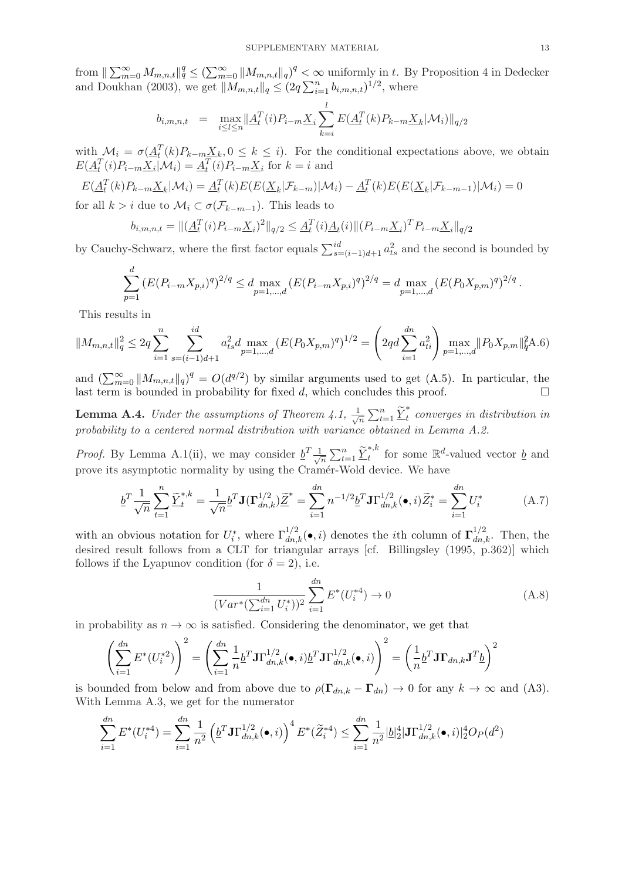from  $\|\sum_{m=0}^{\infty} M_{m,n,t}\|_q^q \leq (\sum_{m=0}^{\infty} \|M_{m,n,t}\|_q)^q < \infty$  uniformly in t. By Proposition 4 in Dedecker and Doukhan (2003), we get  $||M_{m,n,t}||_q \leq (2q \sum_{i=1}^n b_{i,m,n,t})^{1/2}$ , where

$$
b_{i,m,n,t} = \max_{i \le l \le n} \|\underline{A}_t^T(i)P_{i-m}\underline{X}_i\sum_{k=i}^l E(\underline{A}_t^T(k)P_{k-m}\underline{X}_k|\mathcal{M}_i)\|_{q/2}
$$

with  $\mathcal{M}_i = \sigma(\underline{A}_t^T(k)P_{k-m}\underline{X}_k, 0 \leq k \leq i)$ . For the conditional expectations above, we obtain  $E(\underline{A}_t^T(i)P_{i-m}\underline{X}_i|\mathcal{M}_i) = \underline{A}_t^T(i)P_{i-m}\underline{X}_i$  for  $k = i$  and

$$
E(\underline{A}_t^T(k)P_{k-m}\underline{X}_k|\mathcal{M}_i) = \underline{A}_t^T(k)E(E(\underline{X}_k|\mathcal{F}_{k-m})|\mathcal{M}_i) - \underline{A}_t^T(k)E(E(\underline{X}_k|\mathcal{F}_{k-m-1})|\mathcal{M}_i) = 0
$$

for all  $k > i$  due to  $\mathcal{M}_i \subset \sigma(\mathcal{F}_{k-m-1})$ . This leads to

$$
b_{i,m,n,t} = ||(\underline{A}_t^T(i)P_{i-m}\underline{X}_i)^2||_{q/2} \le \underline{A}_t^T(i)\underline{A}_t(i)||(P_{i-m}\underline{X}_i)^T P_{i-m}\underline{X}_i||_{q/2}
$$

by Cauchy-Schwarz, where the first factor equals  $\sum_{s=(i-1)d+1}^{id} a_{ts}^2$  and the second is bounded by

$$
\sum_{p=1}^{d} \left( E(P_{i-m}X_{p,i})^q \right)^{2/q} \leq d \max_{p=1,\dots,d} \left( E(P_{i-m}X_{p,i})^q \right)^{2/q} = d \max_{p=1,\dots,d} \left( E(P_0X_{p,m})^q \right)^{2/q}.
$$

This results in

$$
||M_{m,n,t}||_q^2 \le 2q \sum_{i=1}^n \sum_{s=(i-1)d+1}^{id} a_{ts}^2 d \max_{p=1,\dots,d} \left( E(P_0 X_{p,m})^q \right)^{1/2} = \left( 2qd \sum_{i=1}^{dn} a_{ti}^2 \right) \max_{p=1,\dots,d} ||P_0 X_{p,m}||_q^2 A.6)
$$

and  $\left(\sum_{m=0}^{\infty} ||M_{m,n,t}||_q\right)^q = O(d^{q/2})$  by similar arguments used to get  $(A.5)$ . In particular, the last term is bounded in probability for fixed d, which concludes this proof.  $\Box$ 

**Lemma A.4.** Under the assumptions of Theorem 4.1,  $\frac{1}{\sqrt{2}}$  $\frac{1}{\sqrt{n}}\sum_{t=1}^n \widetilde{\underline{Y}}_t^*$  converges in distribution in probability to a centered normal distribution with variance obtained in Lemma A.2.

*Proof.* By Lemma A.1(ii), we may consider  $\underline{b}^T \frac{1}{\sqrt{b}}$  $\frac{1}{\sqrt{n}} \sum_{t=1}^{n} \tilde{Y}_{t}^{*,k}$  for some  $\mathbb{R}^{d}$ -valued vector <u>b</u> and prove its asymptotic normality by using the Cramér-Wold device. We have

$$
\underline{b}^T \frac{1}{\sqrt{n}} \sum_{t=1}^n \underline{\widetilde{Y}}_t^{*,k} = \frac{1}{\sqrt{n}} \underline{b}^T \mathbf{J} (\mathbf{\Gamma}_{dn,k}^{1/2}) \underline{\widetilde{Z}}^* = \sum_{i=1}^{dn} n^{-1/2} \underline{b}^T \mathbf{J} \Gamma_{dn,k}^{1/2} (\bullet, i) \widetilde{Z}_i^* = \sum_{i=1}^{dn} U_i^*
$$
(A.7)

with an obvious notation for  $U_i^*$ , where  $\Gamma_{dn,k}^{1/2}(\bullet, i)$  denotes the *i*th column of  $\Gamma_{dn,k}^{1/2}$ . Then, the desired result follows from a CLT for triangular arrays [cf. Billingsley (1995, p.362)] which follows if the Lyapunov condition (for  $\delta = 2$ ), i.e.

$$
\frac{1}{(Var^*(\sum_{i=1}^{dn} U_i^*))^2} \sum_{i=1}^{dn} E^*(U_i^{*4}) \to 0
$$
\n(A.8)

in probability as  $n \to \infty$  is satisfied. Considering the denominator, we get that

$$
\left(\sum_{i=1}^{dn} E^*(U_i^*)\right)^2 = \left(\sum_{i=1}^{dn} \frac{1}{n} \underline{b}^T \mathbf{J} \Gamma_{dn,k}^{1/2}(\bullet, i) \underline{b}^T \mathbf{J} \Gamma_{dn,k}^{1/2}(\bullet, i)\right)^2 = \left(\frac{1}{n} \underline{b}^T \mathbf{J} \Gamma_{dn,k} \mathbf{J}^T \underline{b}\right)^2
$$

is bounded from below and from above due to  $\rho(\Gamma_{dn,k} - \Gamma_{dn}) \to 0$  for any  $k \to \infty$  and (A3). With Lemma A.3, we get for the numerator

$$
\sum_{i=1}^{dn} E^*(U_i^{*4}) = \sum_{i=1}^{dn} \frac{1}{n^2} \left( \underline{b}^T \mathbf{J} \Gamma_{dn,k}^{1/2}(\bullet, i) \right)^4 E^*(\widetilde{Z}_i^{*4}) \le \sum_{i=1}^{dn} \frac{1}{n^2} |\underline{b}|_2^4 |\mathbf{J} \Gamma_{dn,k}^{1/2}(\bullet, i)|_2^4 O_P(d^2)
$$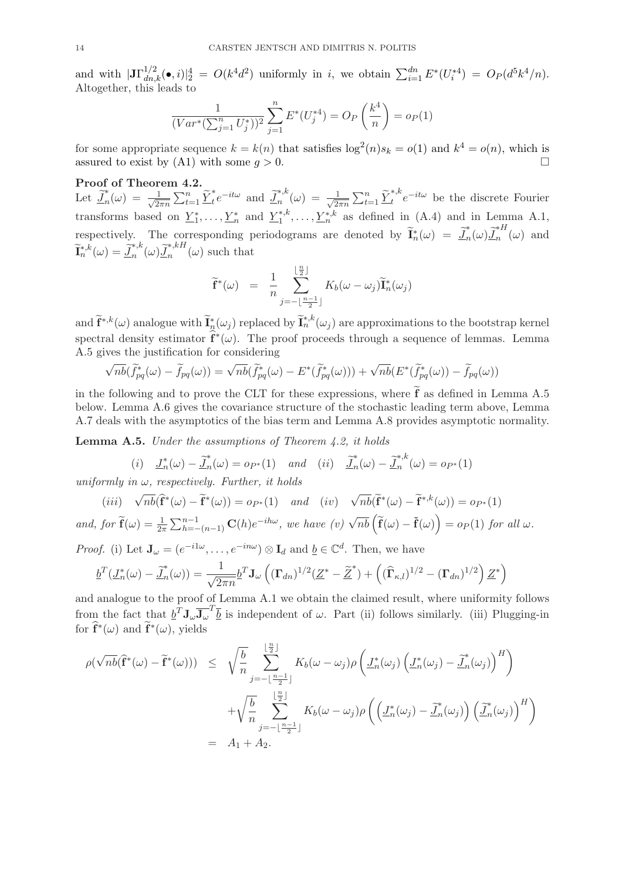and with  $|\mathbf{J}\Gamma_{dn,k}^{1/2}(\bullet,i)|_{2}^{4} = O(k^{4}d^{2})$  uniformly in *i*, we obtain  $\sum_{i=1}^{dn} E^{*}(U_{i}^{*4}) = O_{P}(d^{5}k^{4}/n)$ . Altogether, this leads to

$$
\frac{1}{(Var^*(\sum_{j=1}^n U_j^*))^2} \sum_{j=1}^n E^*(U_j^{*4}) = O_P\left(\frac{k^4}{n}\right) = o_P(1)
$$

for some appropriate sequence  $k = k(n)$  that satisfies  $\log^2(n)s_k = o(1)$  and  $k^4 = o(n)$ , which is assured to exist by  $(A1)$  with some  $q > 0$ .

Proof of Theorem 4.2.

Let  $\widetilde{J}_n^*(\omega) = \frac{1}{\sqrt{2i}}$  $\frac{1}{2\pi n} \sum_{t=1}^n \underline{\widetilde{Y}}_t^* e^{-it\omega}$  and  $\underline{\widetilde{J}}_n^{*,k}(\omega) = \frac{1}{\sqrt{2\pi}}$  $\frac{1}{2\pi n} \sum_{t=1}^n \underline{\widetilde{Y}}_t^{*,k} e^{-it\omega}$  be the discrete Fourier transforms based on  $\underline{Y}_1^*, \ldots, \underline{Y}_n^*$  and  $\underline{Y}_1^{*,k}, \ldots, \underline{Y}_n^{*,k}$  as defined in  $(A.4)$  and in Lemma A.1, respectively. The corresponding periodograms are denoted by  $\tilde{\mathbf{I}}_n^*(\omega) = \tilde{\mathbf{I}}_n^*(\omega) \tilde{\mathbf{I}}_n^{*H}(\omega)$  and  $\widetilde{\mathbf{I}}_n^{*,k}(\omega) = \widetilde{\mathbf{I}}_n^{*,k}(\omega) \widetilde{\mathbf{I}}_n^{*,kH}(\omega)$  such that

$$
\widetilde{\mathbf{f}}^*(\omega) = \frac{1}{n} \sum_{j=-\lfloor \frac{n-1}{2} \rfloor}^{\lfloor \frac{n}{2} \rfloor} K_b(\omega - \omega_j) \widetilde{\mathbf{I}}_n^*(\omega_j)
$$

and  $\widetilde{\mathbf{f}}^{*,k}_{\cdot}(\omega)$  analogue with  $\widetilde{\mathbf{I}}^{*,k}_{n}(\omega_j)$  replaced by  $\widetilde{\mathbf{I}}^{*,k}_{n}(\omega_j)$  are approximations to the bootstrap kernel spectral density estimator  $f^*(\omega)$ . The proof proceeds through a sequence of lemmas. Lemma A.5 gives the justification for considering

$$
\sqrt{nb}(\widetilde{f}_{pq}^*(\omega) - \widetilde{f}_{pq}(\omega)) = \sqrt{nb}(\widetilde{f}_{pq}^*(\omega) - E^*(\widetilde{f}_{pq}^*(\omega))) + \sqrt{nb}(E^*(\widetilde{f}_{pq}^*(\omega)) - \widetilde{f}_{pq}(\omega))
$$

in the following and to prove the CLT for these expressions, where  $\tilde{f}$  as defined in Lemma A.5 below. Lemma A.6 gives the covariance structure of the stochastic leading term above, Lemma A.7 deals with the asymptotics of the bias term and Lemma A.8 provides asymptotic normality.

Lemma A.5. Under the assumptions of Theorem 4.2, it holds

(i)  $\underline{J}_n^*(\omega) - \underline{\tilde{J}}_n^*(\omega) = o_{P^*}(1)$  and (ii)  $\underline{\tilde{J}}_n^*(\omega) - \underline{\tilde{J}}_n^{*,k}(\omega) = o_{P^*}(1)$ 

uniformly in  $\omega$ , respectively. Further, it holds

$$
(iii) \quad \sqrt{nb}(\hat{\mathbf{f}}^*(\omega) - \tilde{\mathbf{f}}^*(\omega)) = o_{P^*}(1) \quad and \quad (iv) \quad \sqrt{nb}(\tilde{\mathbf{f}}^*(\omega) - \tilde{\mathbf{f}}^{*,k}(\omega)) = o_{P^*}(1)
$$
\n
$$
and, \text{ for } \tilde{\mathbf{f}}(\omega) = \frac{1}{2\pi} \sum_{h=-\infty}^{n-1} (n-1) \mathbf{C}(h) e^{-ih\omega}, \text{ we have } (v) \sqrt{nb} \left(\tilde{\mathbf{f}}(\omega) - \tilde{\mathbf{f}}(\omega)\right) = o_P(1) \text{ for all } \omega.
$$

*Proof.* (i) Let  $\mathbf{J}_{\omega} = (e^{-i1\omega}, \dots, e^{-in\omega}) \otimes \mathbf{I}_d$  and  $\underline{b} \in \mathbb{C}^d$ . Then, we have

$$
\underline{b}^T(\underline{J}_n^*(\omega) - \underline{\widetilde{J}}_n^*(\omega)) = \frac{1}{\sqrt{2\pi n}} \underline{b}^T \mathbf{J}_{\omega} \left( (\mathbf{\Gamma}_{dn})^{1/2} (\underline{Z}^* - \underline{\widetilde{Z}}^*) + \left( (\widehat{\mathbf{\Gamma}}_{\kappa,l})^{1/2} - (\mathbf{\Gamma}_{dn})^{1/2} \right) \underline{Z}^* \right)
$$

and analogue to the proof of Lemma A.1 we obtain the claimed result, where uniformity follows from the fact that  $\underline{b}^T \mathbf{J}_{\omega} \overline{\mathbf{J}_{\omega}}^T \overline{\underline{b}}$  is independent of  $\omega$ . Part (ii) follows similarly. (iii) Plugging-in for  $\mathbf{f}^*(\omega)$  and  $\mathbf{f}^*(\omega)$ , yields

$$
\rho(\sqrt{nb}(\hat{\mathbf{f}}^*(\omega) - \tilde{\mathbf{f}}^*(\omega))) \leq \sqrt{\frac{b}{n}} \sum_{j=-\lfloor \frac{n-1}{2} \rfloor}^{\lfloor \frac{n}{2} \rfloor} K_b(\omega - \omega_j) \rho \left( \underline{J}_n^*(\omega_j) \left( \underline{J}_n^*(\omega_j) - \tilde{\underline{J}}_n^*(\omega_j) \right)^H \right) + \sqrt{\frac{b}{n}} \sum_{j=-\lfloor \frac{n-1}{2} \rfloor}^{\lfloor \frac{n}{2} \rfloor} K_b(\omega - \omega_j) \rho \left( \left( \underline{J}_n^*(\omega_j) - \tilde{\underline{J}}_n^*(\omega_j) \right) \left( \tilde{\underline{J}}_n^*(\omega_j) \right)^H \right) = A_1 + A_2.
$$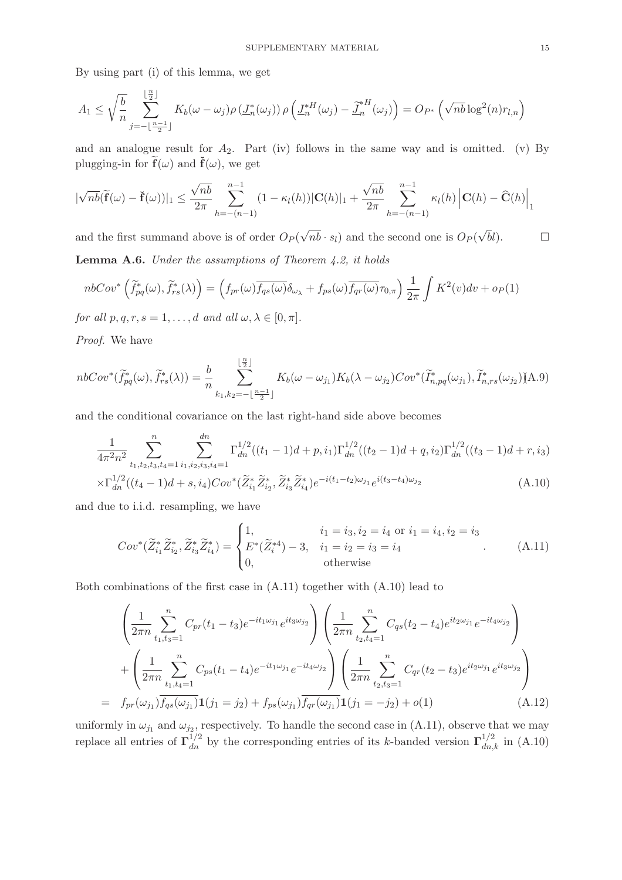By using part (i) of this lemma, we get

$$
A_1 \leq \sqrt{\frac{b}{n}} \sum_{j=-\lfloor \frac{n-1}{2} \rfloor}^{\lfloor \frac{n}{2} \rfloor} K_b(\omega - \omega_j) \rho \left( \underline{J}_n^*(\omega_j) \right) \rho \left( \underline{J}_n^{*H}(\omega_j) - \underline{\widetilde{J}}_n^{*H}(\omega_j) \right) = O_{P^*}\left(\sqrt{nb} \log^2(n) r_{l,n}\right)
$$

and an analogue result for  $A_2$ . Part (iv) follows in the same way and is omitted. (v) By plugging-in for  $\mathbf{f}(\omega)$  and  $\mathbf{f}(\omega)$ , we get

$$
|\sqrt{nb}(\widetilde{\mathbf{f}}(\omega) - \widetilde{\mathbf{f}}(\omega))|_1 \le \frac{\sqrt{nb}}{2\pi} \sum_{h=-(n-1)}^{n-1} (1 - \kappa_l(h)) |\mathbf{C}(h)|_1 + \frac{\sqrt{nb}}{2\pi} \sum_{h=-(n-1)}^{n-1} \kappa_l(h) |\mathbf{C}(h) - \widehat{\mathbf{C}}(h)|_1
$$

and the first summand above is of order  $O_P(\sqrt{nb} \cdot s_l)$  and the second one is  $O_P(\sqrt{b}l)$ .

**Lemma A.6.** Under the assumptions of Theorem  $4.2$ , it holds

$$
nbCov^*\left(\widetilde{f}_{pq}^*(\omega), \widetilde{f}_{rs}^*(\lambda)\right) = \left(f_{pr}(\omega)\overline{f_{qs}(\omega)}\delta_{\omega_{\lambda}} + f_{ps}(\omega)\overline{f_{qr}(\omega)}\tau_{0,\pi}\right)\frac{1}{2\pi}\int K^2(v)dv + op(1)
$$

for all  $p, q, r, s = 1, \ldots, d$  and all  $\omega, \lambda \in [0, \pi]$ .

Proof. We have

$$
nbCov^*(\widetilde{f}_{pq}^*(\omega), \widetilde{f}_{rs}^*(\lambda)) = \frac{b}{n} \sum_{k_1, k_2 = -\lfloor \frac{n-1}{2} \rfloor}^{\lfloor \frac{n}{2} \rfloor} K_b(\omega - \omega_{j_1}) K_b(\lambda - \omega_{j_2})Cov^*(\widetilde{I}_{n,pq}^*(\omega_{j_1}), \widetilde{I}_{n,rs}^*(\omega_{j_2})) \text{A.9}
$$

and the conditional covariance on the last right-hand side above becomes

$$
\frac{1}{4\pi^2 n^2} \sum_{t_1, t_2, t_3, t_4=1}^n \sum_{i_1, i_2, i_3, i_4=1}^{dn} \Gamma_{dn}^{1/2}((t_1-1)d+p, i_1) \Gamma_{dn}^{1/2}((t_2-1)d+q, i_2) \Gamma_{dn}^{1/2}((t_3-1)d+r, i_3)
$$
\n
$$
\times \Gamma_{dn}^{1/2}((t_4-1)d+s, i_4) Cov^*(\widetilde{Z}_{i_1}^* \widetilde{Z}_{i_2}^*, \widetilde{Z}_{i_3}^* \widetilde{Z}_{i_4}^*) e^{-i(t_1-t_2)\omega_{j_1}} e^{i(t_3-t_4)\omega_{j_2}} \tag{A.10}
$$

and due to i.i.d. resampling, we have

$$
Cov^*(\widetilde{Z}_{i_1}^*\widetilde{Z}_{i_2}^*, \widetilde{Z}_{i_3}^*\widetilde{Z}_{i_4}^*) = \begin{cases} 1, & i_1 = i_3, i_2 = i_4 \text{ or } i_1 = i_4, i_2 = i_3 \\ E^*(\widetilde{Z}_{i_1}^{*4}) - 3, & i_1 = i_2 = i_3 = i_4 \\ 0, & \text{otherwise} \end{cases}
$$
(A.11)

Both combinations of the first case in (A.11) together with (A.10) lead to

$$
\left(\frac{1}{2\pi n} \sum_{t_1,t_3=1}^n C_{pr}(t_1-t_3) e^{-it_1\omega_{j_1}} e^{it_3\omega_{j_2}}\right) \left(\frac{1}{2\pi n} \sum_{t_2,t_4=1}^n C_{qs}(t_2-t_4) e^{it_2\omega_{j_1}} e^{-it_4\omega_{j_2}}\right) \n+ \left(\frac{1}{2\pi n} \sum_{t_1,t_4=1}^n C_{ps}(t_1-t_4) e^{-it_1\omega_{j_1}} e^{-it_4\omega_{j_2}}\right) \left(\frac{1}{2\pi n} \sum_{t_2,t_3=1}^n C_{qr}(t_2-t_3) e^{it_2\omega_{j_1}} e^{it_3\omega_{j_2}}\right) \n= f_{pr}(\omega_{j_1}) \overline{f_{qs}(\omega_{j_1})} \mathbf{1}(j_1=j_2) + f_{ps}(\omega_{j_1}) \overline{f_{qr}(\omega_{j_1})} \mathbf{1}(j_1=-j_2) + o(1)
$$
\n(A.12)

uniformly in  $\omega_{j_1}$  and  $\omega_{j_2}$ , respectively. To handle the second case in  $(A.11)$ , observe that we may replace all entries of  $\Gamma_{dn}^{1/2}$  by the corresponding entries of its k-banded version  $\Gamma_{dn,k}^{1/2}$  in (A.10)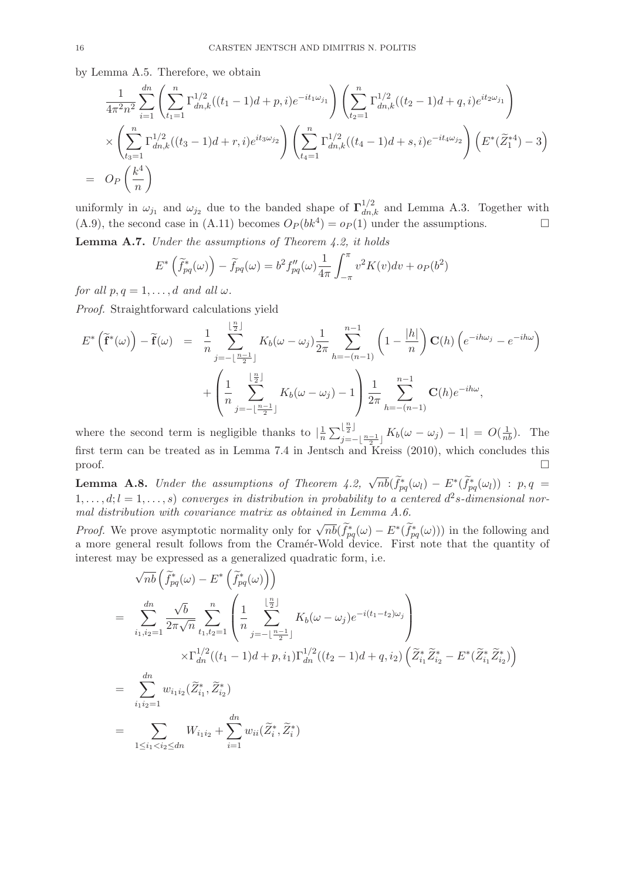by Lemma A.5. Therefore, we obtain

$$
\frac{1}{4\pi^2 n^2} \sum_{i=1}^{dn} \left( \sum_{t_1=1}^n \Gamma_{dn,k}^{1/2}((t_1-1)d+p,i)e^{-it_1\omega_{j_1}} \right) \left( \sum_{t_2=1}^n \Gamma_{dn,k}^{1/2}((t_2-1)d+q,i)e^{it_2\omega_{j_1}} \right)
$$
\n
$$
\times \left( \sum_{t_3=1}^n \Gamma_{dn,k}^{1/2}((t_3-1)d+r,i)e^{it_3\omega_{j_2}} \right) \left( \sum_{t_4=1}^n \Gamma_{dn,k}^{1/2}((t_4-1)d+s,i)e^{-it_4\omega_{j_2}} \right) \left( E^*(\widetilde{Z}_1^{*4}) - 3 \right)
$$
\n
$$
= O_P\left(\frac{k^4}{n}\right)
$$

uniformly in  $\omega_{j_1}$  and  $\omega_{j_2}$  due to the banded shape of  $\Gamma_{dn,k}^{1/2}$  and Lemma A.3. Together with (A.9), the second case in (A.11) becomes  $O_P(bk^4) = o_P(1)$  under the assumptions.

**Lemma A.7.** Under the assumptions of Theorem  $4.2$ , it holds

$$
E^* \left( \widetilde{f}_{pq}^*(\omega) \right) - \widetilde{f}_{pq}(\omega) = b^2 f''_{pq}(\omega) \frac{1}{4\pi} \int_{-\pi}^{\pi} v^2 K(v) dv + o_P(b^2)
$$

for all  $p, q = 1, \ldots, d$  and all  $\omega$ .

Proof. Straightforward calculations yield

$$
E^* \left( \tilde{\mathbf{f}}^* (\omega) \right) - \tilde{\mathbf{f}} (\omega) = \frac{1}{n} \sum_{j=-\lfloor \frac{n-1}{2} \rfloor}^{\lfloor \frac{n}{2} \rfloor} K_b (\omega - \omega_j) \frac{1}{2\pi} \sum_{h=-\lfloor n-1 \rfloor}^{n-1} \left( 1 - \frac{|h|}{n} \right) \mathbf{C}(h) \left( e^{-ih\omega_j} - e^{-ih\omega} \right)
$$

$$
+ \left( \frac{1}{n} \sum_{j=-\lfloor \frac{n-1}{2} \rfloor}^{\lfloor \frac{n}{2} \rfloor} K_b (\omega - \omega_j) - 1 \right) \frac{1}{2\pi} \sum_{h=-\lfloor n-1 \rfloor}^{n-1} \mathbf{C}(h) e^{-ih\omega},
$$

where the second term is negligible thanks to  $\frac{1}{n}$  $\frac{1}{n} \sum_{j=-\lfloor \frac{n-1}{2} \rfloor}^{\lfloor \frac{n}{2} \rfloor} K_b(\omega - \omega_j) - 1| = O(\frac{1}{nb}).$  The first term can be treated as in Lemma 7.4 in Jentsch and Kreiss (2010), which concludes this  $\Box$ 

**Lemma A.8.** Under the assumptions of Theorem 4.2,  $\sqrt{nb}(\widetilde{f}_{pq}^*(\omega_l) - E^*(\widetilde{f}_{pq}^*(\omega_l))$ :  $p, q =$  $1, \ldots, d; l = 1, \ldots, s$  converges in distribution in probability to a centered  $d^2s$ -dimensional normal distribution with covariance matrix as obtained in Lemma A.6.

*Proof.* We prove asymptotic normality only for  $\sqrt{nb}(\widetilde{f}_{pq}^*(\omega) - E^*(\widetilde{f}_{pq}^*(\omega)))$  in the following and a more general result follows from the Cramér-Wold device. First note that the quantity of interest may be expressed as a generalized quadratic form, i.e.

$$
\sqrt{nb} \left( \tilde{f}_{pq}^{*}(\omega) - E^{*} \left( \tilde{f}_{pq}^{*}(\omega) \right) \right)
$$
\n
$$
= \sum_{i_{1},i_{2}=1}^{dn} \frac{\sqrt{b}}{2\pi \sqrt{n}} \sum_{t_{1},t_{2}=1}^{n} \left( \frac{1}{n} \sum_{j=-\lfloor \frac{n-1}{2} \rfloor}^{\lfloor \frac{n}{2} \rfloor} K_{b}(\omega - \omega_{j}) e^{-i(t_{1}-t_{2})\omega_{j}} \right)
$$
\n
$$
\times \Gamma_{dn}^{1/2}((t_{1}-1)d+p,i_{1}) \Gamma_{dn}^{1/2}((t_{2}-1)d+q,i_{2}) \left( \tilde{Z}_{i_{1}}^{*} \tilde{Z}_{i_{2}}^{*} - E^{*}(\tilde{Z}_{i_{1}}^{*} \tilde{Z}_{i_{2}}^{*}) \right)
$$
\n
$$
= \sum_{i_{1}i_{2}=1}^{dn} w_{i_{1}i_{2}} (\tilde{Z}_{i_{1}}^{*}, \tilde{Z}_{i_{2}}^{*})
$$
\n
$$
= \sum_{1 \leq i_{1} < i_{2} \leq dn} W_{i_{1}i_{2}} + \sum_{i=1}^{dn} w_{ii} (\tilde{Z}_{i}^{*}, \tilde{Z}_{i}^{*})
$$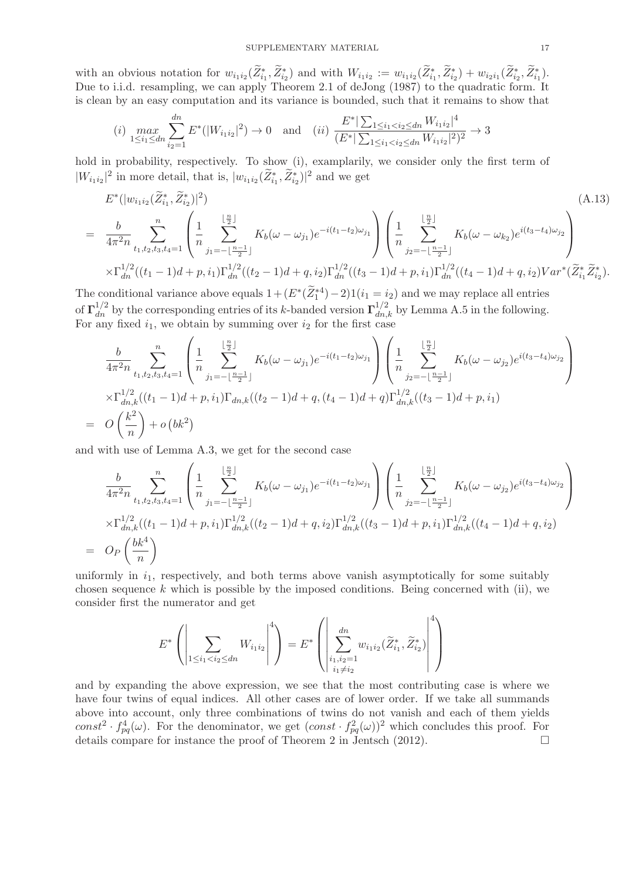with an obvious notation for  $w_{i_1 i_2}(Z_{i_1}^*, Z_{i_2}^*)$  and with  $W_{i_1 i_2} := w_{i_1 i_2}(Z_{i_1}^*, Z_{i_2}^*) + w_{i_2 i_1}(Z_{i_2}^*, Z_{i_1}^*)$ . Due to i.i.d. resampling, we can apply Theorem 2.1 of deJong (1987) to the quadratic form. It is clean by an easy computation and its variance is bounded, such that it remains to show that

$$
(i) \max_{1 \le i_1 \le dn} \sum_{i_2=1}^{dn} E^*(|W_{i_1 i_2}|^2) \to 0 \quad \text{and} \quad (ii) \frac{E^*|\sum_{1 \le i_1 < i_2 \le dn} W_{i_1 i_2}|^4}{(E^*|\sum_{1 \le i_1 < i_2 \le dn} W_{i_1 i_2}|^2)^2} \to 3
$$

hold in probability, respectively. To show (i), examplarily, we consider only the first term of  $|W_{i_1i_2}|^2$  in more detail, that is,  $|w_{i_1i_2}(\tilde{Z}_{i_1}^*, \tilde{Z}_{i_2}^*)|^2$  and we get

$$
E^*(|w_{i_1i_2}(\tilde{Z}_{i_1}^*, \tilde{Z}_{i_2}^*)|^2)
$$
\n
$$
= \frac{b}{4\pi^2 n} \sum_{t_1, t_2, t_3, t_4=1}^n \left( \frac{1}{n} \sum_{j_1=-\lfloor \frac{n-1}{2} \rfloor}^{\lfloor \frac{n}{2} \rfloor} K_b(\omega - \omega_{j_1}) e^{-i(t_1-t_2)\omega_{j_1}} \right) \left( \frac{1}{n} \sum_{j_2=-\lfloor \frac{n-1}{2} \rfloor}^{\lfloor \frac{n}{2} \rfloor} K_b(\omega - \omega_{k_2}) e^{i(t_3-t_4)\omega_{j_2}} \right)
$$
\n
$$
\times \Gamma_{dn}^{1/2}((t_1-1)d+p, i_1) \Gamma_{dn}^{1/2}((t_2-1)d+q, i_2) \Gamma_{dn}^{1/2}((t_3-1)d+p, i_1) \Gamma_{dn}^{1/2}((t_4-1)d+q, i_2) Var^*(\tilde{Z}_{i_1}^*, \tilde{Z}_{i_2}^*).
$$
\n(A.13)

The conditional variance above equals  $1 + (E^*(\tilde{Z}_1^{*4}) - 2)1(i_1 = i_2)$  and we may replace all entries of  $\Gamma_{dn}^{1/2}$  by the corresponding entries of its k-banded version  $\Gamma_{dn,k}^{1/2}$  by Lemma A.5 in the following. For any fixed  $i_1$ , we obtain by summing over  $i_2$  for the first case

$$
\frac{b}{4\pi^2 n} \sum_{t_1, t_2, t_3, t_4=1}^n \left( \frac{1}{n} \sum_{j_1=-\lfloor \frac{n-1}{2} \rfloor}^{\lfloor \frac{n}{2} \rfloor} K_b(\omega - \omega_{j_1}) e^{-i(t_1-t_2)\omega_{j_1}} \right) \left( \frac{1}{n} \sum_{j_2=-\lfloor \frac{n-1}{2} \rfloor}^{\lfloor \frac{n}{2} \rfloor} K_b(\omega - \omega_{j_2}) e^{i(t_3-t_4)\omega_{j_2}} \right)
$$
\n
$$
\times \Gamma_{dn,k}^{1/2}((t_1-1)d+p, i_1) \Gamma_{dn,k}((t_2-1)d+q, (t_4-1)d+q) \Gamma_{dn,k}^{1/2}((t_3-1)d+p, i_1)
$$
\n
$$
= O\left(\frac{k^2}{n}\right) + o\left(bk^2\right)
$$

and with use of Lemma A.3, we get for the second case

 $=$ 

$$
\frac{b}{4\pi^2 n} \sum_{t_1, t_2, t_3, t_4=1}^n \left( \frac{1}{n} \sum_{j_1=-\lfloor \frac{n-1}{2} \rfloor}^{\lfloor \frac{n}{2} \rfloor} K_b(\omega - \omega_{j_1}) e^{-i(t_1-t_2)\omega_{j_1}} \right) \left( \frac{1}{n} \sum_{j_2=-\lfloor \frac{n-1}{2} \rfloor}^{\lfloor \frac{n}{2} \rfloor} K_b(\omega - \omega_{j_2}) e^{i(t_3-t_4)\omega_{j_2}} \right)
$$
  

$$
\times \Gamma_{dn,k}^{1/2}((t_1-1)d+p, i_1) \Gamma_{dn,k}^{1/2}((t_2-1)d+q, i_2) \Gamma_{dn,k}^{1/2}((t_3-1)d+p, i_1) \Gamma_{dn,k}^{1/2}((t_4-1)d+q, i_2)
$$
  

$$
O_P\left(\frac{bk^4}{n}\right)
$$

uniformly in  $i_1$ , respectively, and both terms above vanish asymptotically for some suitably chosen sequence  $k$  which is possible by the imposed conditions. Being concerned with (ii), we consider first the numerator and get

$$
E^* \left( \left| \sum_{1 \le i_1 < i_2 \le dn} W_{i_1 i_2} \right|^4 \right) = E^* \left( \left| \sum_{\substack{i_1, i_2 = 1 \\ i_1 \ne i_2}}^{\text{d}n} w_{i_1 i_2} (\widetilde{Z}_{i_1}^*, \widetilde{Z}_{i_2}^*) \right|^4 \right)
$$

and by expanding the above expression, we see that the most contributing case is where we have four twins of equal indices. All other cases are of lower order. If we take all summands above into account, only three combinations of twins do not vanish and each of them yields const<sup>2</sup> ·  $f_{pq}^4(\omega)$ . For the denominator, we get  $(const \cdot f_{pq}^2(\omega))^2$  which concludes this proof. For details compare for instance the proof of Theorem 2 in Jentsch (2012).  $\Box$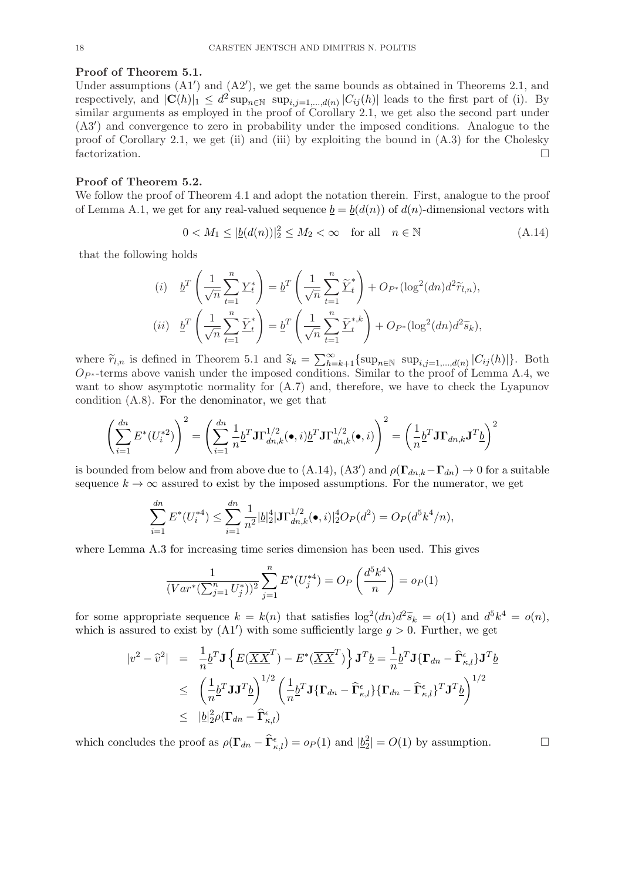#### Proof of Theorem 5.1.

Under assumptions  $(A1')$  and  $(A2')$ , we get the same bounds as obtained in Theorems 2.1, and respectively, and  $|\mathbf{C}(h)|_1 \leq d^2 \sup_{n \in \mathbb{N}} \sup_{i,j=1,\dots,d(n)} |C_{ij}(h)|$  leads to the first part of (i). By similar arguments as employed in the proof of Corollary 2.1, we get also the second part under (A3′ ) and convergence to zero in probability under the imposed conditions. Analogue to the proof of Corollary 2.1, we get (ii) and (iii) by exploiting the bound in  $(A.3)$  for the Cholesky factorization.

### Proof of Theorem 5.2.

We follow the proof of Theorem 4.1 and adopt the notation therein. First, analogue to the proof of Lemma A.1, we get for any real-valued sequence  $\underline{b} = \underline{b}(d(n))$  of  $d(n)$ -dimensional vectors with

$$
0 < M_1 \le |\underline{b}(d(n))|_2^2 \le M_2 < \infty \quad \text{for all} \quad n \in \mathbb{N} \tag{A.14}
$$

that the following holds

(i) 
$$
\underline{b}^T \left( \frac{1}{\sqrt{n}} \sum_{t=1}^n \underline{Y}_t^* \right) = \underline{b}^T \left( \frac{1}{\sqrt{n}} \sum_{t=1}^n \widetilde{\underline{Y}}_t^* \right) + O_{P^*}(\log^2(dn) d^2 \widetilde{r}_{l,n}),
$$
  
(ii) 
$$
\underline{b}^T \left( \frac{1}{\sqrt{n}} \sum_{t=1}^n \widetilde{\underline{Y}}_t^* \right) = \underline{b}^T \left( \frac{1}{\sqrt{n}} \sum_{t=1}^n \widetilde{\underline{Y}}_t^{*,k} \right) + O_{P^*}(\log^2(dn) d^2 \widetilde{s}_k),
$$

where  $\widetilde{r}_{l,n}$  is defined in Theorem 5.1 and  $\widetilde{s}_k = \sum_{k=k+1}^{\infty} {\sup_{n \in \mathbb{N}} {\sup_{n \in \mathbb{N}} {\sup_{i,j=1,\ldots,d(n)}} |C_{ij}(h)|}}$ . Both  $Op*$ -terms above vanish under the imposed conditions. Similar to the proof of Lemma A.4, we want to show asymptotic normality for  $(A.7)$  and, therefore, we have to check the Lyapunov condition (A.8). For the denominator, we get that

$$
\left(\sum_{i=1}^{dn} E^*(U_i^*)\right)^2 = \left(\sum_{i=1}^{dn} \frac{1}{n} \underline{b}^T \mathbf{J} \Gamma_{dn,k}^{1/2}(\bullet, i) \underline{b}^T \mathbf{J} \Gamma_{dn,k}^{1/2}(\bullet, i)\right)^2 = \left(\frac{1}{n} \underline{b}^T \mathbf{J} \Gamma_{dn,k} \mathbf{J}^T \underline{b}\right)^2
$$

is bounded from below and from above due to (A.14), (A3') and  $\rho(\Gamma_{dn,k}-\Gamma_{dn}) \to 0$  for a suitable sequence  $k \to \infty$  assured to exist by the imposed assumptions. For the numerator, we get

$$
\sum_{i=1}^{dn} E^*(U_i^{*4}) \le \sum_{i=1}^{dn} \frac{1}{n^2} |\underline{b}|_2^4 |\mathbf{J}\Gamma_{dn,k}^{1/2}(\bullet, i)|_2^4 O_P(d^2) = O_P(d^5 k^4/n),
$$

where Lemma A.3 for increasing time series dimension has been used. This gives

$$
\frac{1}{(Var^*(\sum_{j=1}^n U_j^*))^2} \sum_{j=1}^n E^*(U_j^{*4}) = O_P\left(\frac{d^5 k^4}{n}\right) = o_P(1)
$$

for some appropriate sequence  $k = k(n)$  that satisfies  $\log^2(dn)d^2\tilde{s}_k = o(1)$  and  $d^5k^4 = o(n)$ , which is assured to exist by  $(A1')$  with some sufficiently large  $g > 0$ . Further, we get

$$
|v^2 - \hat{v}^2| = \frac{1}{n} \underline{b}^T \mathbf{J} \left\{ E(\overline{XX}^T) - E^*(\overline{XX}^T) \right\} \mathbf{J}^T \underline{b} = \frac{1}{n} \underline{b}^T \mathbf{J} \{ \Gamma_{dn} - \widehat{\Gamma}_{\kappa,l}^{\epsilon} \} \mathbf{J}^T \underline{b}
$$
  
\n
$$
\leq \left( \frac{1}{n} \underline{b}^T \mathbf{J} \mathbf{J}^T \underline{b} \right)^{1/2} \left( \frac{1}{n} \underline{b}^T \mathbf{J} \{ \Gamma_{dn} - \widehat{\Gamma}_{\kappa,l}^{\epsilon} \} \{ \Gamma_{dn} - \widehat{\Gamma}_{\kappa,l}^{\epsilon} \}^T \mathbf{J}^T \underline{b} \right)^{1/2}
$$
  
\n
$$
\leq |\underline{b}|_2^2 \rho (\Gamma_{dn} - \widehat{\Gamma}_{\kappa,l}^{\epsilon})
$$

which concludes the proof as  $\rho(\Gamma_{dn} - \widehat{\Gamma}_{\kappa,l}^{\epsilon}) = o_P(1)$  and  $|\underline{b}_2^2| = O(1)$  by assumption.